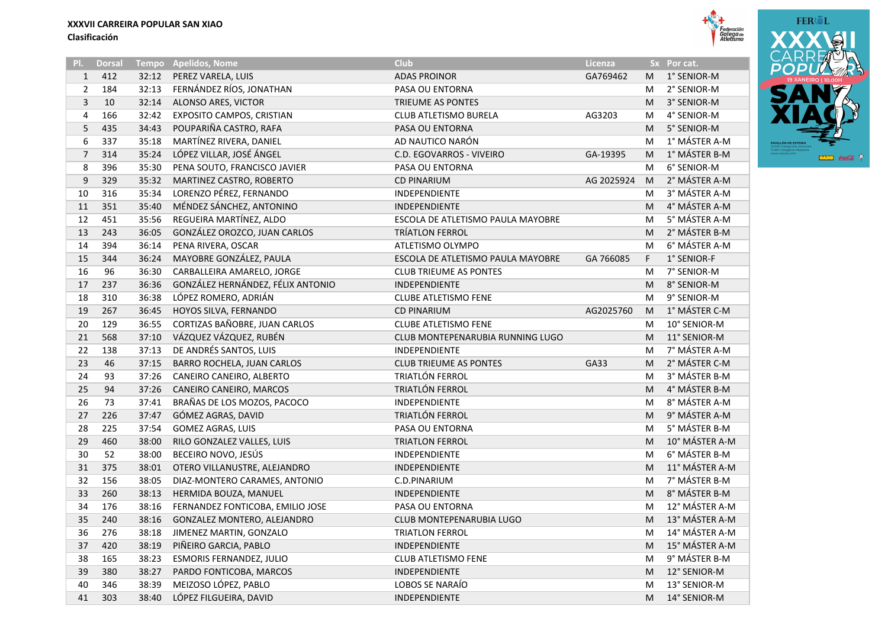|                |               |       |                                   |                                   |            |    |                | AA J            |
|----------------|---------------|-------|-----------------------------------|-----------------------------------|------------|----|----------------|-----------------|
| 기.             | <b>Dorsal</b> |       | Tempo Apelidos, Nome              | <b>Club</b>                       | Licenza    |    | Sx Por cat.    | CARF<br>POPI    |
| 1              | 412           | 32:12 | PEREZ VARELA, LUIS                | <b>ADAS PROINOR</b>               | GA769462   | м  | 1° SENIOR-M    | <b>19 XANEI</b> |
| $\overline{2}$ | 184           | 32:13 | FERNÁNDEZ RÍOS, JONATHAN          | PASA OU ENTORNA                   |            | M  | 2° SENIOR-M    | УΑ              |
| 3              | 10            | 32:14 | ALONSO ARES, VICTOR               | TRIEUME AS PONTES                 |            | M  | 3° SENIOR-M    |                 |
| 4              | 166           | 32:42 | EXPOSITO CAMPOS, CRISTIAN         | CLUB ATLETISMO BURELA             | AG3203     | M  | 4° SENIOR-M    |                 |
| 5              | 435           | 34:43 | POUPARIÑA CASTRO, RAFA            | PASA OU ENTORNA                   |            | M  | 5° SENIOR-M    |                 |
| 6              | 337           | 35:18 | MARTÍNEZ RIVERA, DANIEL           | AD NAUTICO NARÓN                  |            | M  | 1° MÁSTER A-M  |                 |
| $\overline{7}$ | 314           | 35:24 | LÓPEZ VILLAR, JOSÉ ÁNGEL          | C.D. EGOVARROS - VIVEIRO          | GA-19395   | M  | 1° MÁSTER B-M  |                 |
| 8              | 396           | 35:30 | PENA SOUTO, FRANCISCO JAVIER      | PASA OU ENTORNA                   |            | M  | 6° SENIOR-M    |                 |
| 9              | 329           | 35:32 | MARTINEZ CASTRO, ROBERTO          | <b>CD PINARIUM</b>                | AG 2025924 | M  | 2° MÁSTER A-M  |                 |
| 10             | 316           | 35:34 | LORENZO PÉREZ, FERNANDO           | INDEPENDIENTE                     |            | M  | 3° MÁSTER A-M  |                 |
| 11             | 351           | 35:40 | MÉNDEZ SÁNCHEZ, ANTONINO          | INDEPENDIENTE                     |            | M  | 4° MÁSTER A-M  |                 |
| 12             | 451           | 35:56 | REGUEIRA MARTÍNEZ, ALDO           | ESCOLA DE ATLETISMO PAULA MAYOBRE |            | M  | 5° MÁSTER A-M  |                 |
| 13             | 243           | 36:05 | GONZÁLEZ OROZCO, JUAN CARLOS      | <b>TRÍATLON FERROL</b>            |            | M  | 2° MÁSTER B-M  |                 |
| 14             | 394           | 36:14 | PENA RIVERA, OSCAR                | ATLETISMO OLYMPO                  |            | M  | 6° MÁSTER A-M  |                 |
| 15             | 344           | 36:24 | MAYOBRE GONZÁLEZ, PAULA           | ESCOLA DE ATLETISMO PAULA MAYOBRE | GA 766085  | F. | 1° SENIOR-F    |                 |
| 16             | 96            | 36:30 | CARBALLEIRA AMARELO, JORGE        | <b>CLUB TRIEUME AS PONTES</b>     |            | м  | 7° SENIOR-M    |                 |
| 17             | 237           | 36:36 | GONZÁLEZ HERNÁNDEZ, FÉLIX ANTONIO | INDEPENDIENTE                     |            | M  | 8° SENIOR-M    |                 |
| 18             | 310           | 36:38 | LÓPEZ ROMERO, ADRIÁN              | <b>CLUBE ATLETISMO FENE</b>       |            | M  | 9° SENIOR-M    |                 |
| 19             | 267           | 36:45 | HOYOS SILVA, FERNANDO             | <b>CD PINARIUM</b>                | AG2025760  | M  | 1° MÁSTER C-M  |                 |
| 20             | 129           | 36:55 | CORTIZAS BAÑOBRE, JUAN CARLOS     | <b>CLUBE ATLETISMO FENE</b>       |            | M  | 10° SENIOR-M   |                 |
| 21             | 568           | 37:10 | VÁZQUEZ VÁZQUEZ, RUBÉN            | CLUB MONTEPENARUBIA RUNNING LUGO  |            | M  | 11° SENIOR-M   |                 |
| 22             | 138           | 37:13 | DE ANDRÉS SANTOS, LUIS            | <b>INDEPENDIENTE</b>              |            | M  | 7° MÁSTER A-M  |                 |
| 23             | 46            | 37:15 | BARRO ROCHELA, JUAN CARLOS        | <b>CLUB TRIEUME AS PONTES</b>     | GA33       | M  | 2° MÁSTER C-M  |                 |
| 24             | 93            | 37:26 | CANEIRO CANEIRO, ALBERTO          | <b>TRIATLÓN FERROL</b>            |            | M  | 3° MÁSTER B-M  |                 |
| 25             | 94            | 37:26 | CANEIRO CANEIRO, MARCOS           | TRIATLÓN FERROL                   |            | M  | 4° MÁSTER B-M  |                 |
| 26             | 73            | 37:41 | BRAÑAS DE LOS MOZOS, PACOCO       | <b>INDEPENDIENTE</b>              |            | M  | 8° MÁSTER A-M  |                 |
| 27             | 226           | 37:47 | GÓMEZ AGRAS, DAVID                | TRIATLÓN FERROL                   |            | M  | 9° MÁSTER A-M  |                 |
| 28             | 225           | 37:54 | GOMEZ AGRAS, LUIS                 | PASA OU ENTORNA                   |            | M  | 5° MÁSTER B-M  |                 |
| 29             | 460           | 38:00 | RILO GONZALEZ VALLES, LUIS        | <b>TRIATLON FERROL</b>            |            | M  | 10° MÁSTER A-M |                 |
| 30             | 52            | 38:00 | BECEIRO NOVO, JESÚS               | <b>INDEPENDIENTE</b>              |            | M  | 6° MÁSTER B-M  |                 |

31 375 38:01 OTERO VILLANUSTRE. ALEJANDRO INDEPENDIENTE INDEPENDIENTE METALLICHE M 11° MÁSTER A-M 32 156 38:05 DIAZ-MONTERO CARAMES, ANTONIO C.D.PINARIUM C.D.PINARIUM C.D.PINARIUM M 7° MÁSTER B-M 33 260 38:13 HERMIDA BOUZA, MANUEL NEWSLEY MANUEL INDEPENDIENTE NEWSLEY AND SOM ASSER B-M 34 176 38:16 FERNANDEZ FONTICOBA, EMILIO JOSE PASA OU ENTORNA NEW 176 M 12° MÁSTER A-M 240 38:16 GONZALEZ MONTERO, ALEJANDRO CLUB MONTEPENARUBIA LUGO M 13° MÁSTER A-M 276 38:18 JIMENEZ MARTIN, GONZALO TRIATLON FERROL M 14° MÁSTER A-M 37 420 38:19 PIÑEIRO GARCIA, PABLO **INDEPENDIENTE** MEDICINE A-M 15° MÁSTER A-M 165 38:23 ESMORIS FERNANDEZ, JULIO CLUB ATLETISMO FENE M 9° MÁSTER B-M 39 380 38:27 PARDO FONTICOBA, MARCOS INDEPENDIENTE INDEPENDIENTE M 12° SENIOR-M 346 38:39 MEIZOSO LÓPEZ, PABLO LOBOS SE NARAÍO M 13° SENIOR-M 303 38:40 LÓPEZ FILGUEIRA, DAVID INDEPENDIENTE M 14° SENIOR-M



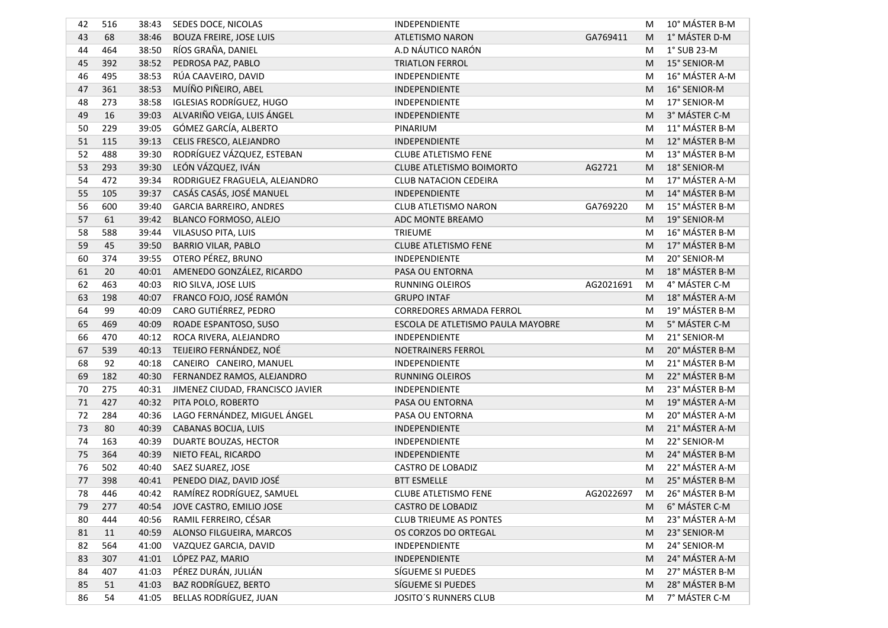| 42     | 516 | 38:43 | SEDES DOCE, NICOLAS              | INDEPENDIENTE                     |           | M | 10° MÁSTER B-M |
|--------|-----|-------|----------------------------------|-----------------------------------|-----------|---|----------------|
| 43     | 68  | 38:46 | <b>BOUZA FREIRE, JOSE LUIS</b>   | <b>ATLETISMO NARON</b>            | GA769411  | M | 1° MÁSTER D-M  |
| 44     | 464 | 38:50 | RÍOS GRAÑA, DANIEL               | A.D NÁUTICO NARÓN                 |           | M | 1° SUB 23-M    |
| 45     | 392 | 38:52 | PEDROSA PAZ, PABLO               | <b>TRIATLON FERROL</b>            |           | M | 15° SENIOR-M   |
| 46     | 495 | 38:53 | RÚA CAAVEIRO, DAVID              | INDEPENDIENTE                     |           | M | 16° MÁSTER A-M |
| 47     | 361 | 38:53 | MUÍÑO PIÑEIRO, ABEL              | INDEPENDIENTE                     |           | M | 16° SENIOR-M   |
| 48     | 273 | 38:58 | <b>IGLESIAS RODRÍGUEZ, HUGO</b>  | <b>INDEPENDIENTE</b>              |           | M | 17° SENIOR-M   |
| 49     | 16  | 39:03 | ALVARIÑO VEIGA, LUIS ÁNGEL       | INDEPENDIENTE                     |           | M | 3° MÁSTER C-M  |
| 50     | 229 | 39:05 | GÓMEZ GARCÍA, ALBERTO            | PINARIUM                          |           | M | 11° MÁSTER B-M |
| 51     | 115 | 39:13 | CELIS FRESCO, ALEJANDRO          | INDEPENDIENTE                     |           | M | 12° MÁSTER B-M |
| 52     | 488 | 39:30 | RODRÍGUEZ VÁZQUEZ, ESTEBAN       | <b>CLUBE ATLETISMO FENE</b>       |           | M | 13° MÁSTER B-M |
| 53     | 293 | 39:30 | LEÓN VÁZQUEZ, IVÁN               | <b>CLUBE ATLETISMO BOIMORTO</b>   | AG2721    | M | 18° SENIOR-M   |
| 54     | 472 | 39:34 | RODRIGUEZ FRAGUELA, ALEJANDRO    | <b>CLUB NATACION CEDEIRA</b>      |           | M | 17° MÁSTER A-M |
| 55     | 105 | 39:37 | CASÁS CASÁS, JOSÉ MANUEL         | INDEPENDIENTE                     |           | M | 14° MÁSTER B-M |
| 56     | 600 | 39:40 | GARCIA BARREIRO, ANDRES          | <b>CLUB ATLETISMO NARON</b>       | GA769220  | M | 15° MÁSTER B-M |
| 57     | 61  | 39:42 | BLANCO FORMOSO, ALEJO            | ADC MONTE BREAMO                  |           | M | 19° SENIOR-M   |
| 58     | 588 | 39:44 | VILASUSO PITA, LUIS              | <b>TRIEUME</b>                    |           | M | 16° MÁSTER B-M |
| 59     | 45  | 39:50 | <b>BARRIO VILAR, PABLO</b>       | <b>CLUBE ATLETISMO FENE</b>       |           | M | 17° MÁSTER B-M |
| 60     | 374 | 39:55 | OTERO PÉREZ, BRUNO               | INDEPENDIENTE                     |           | M | 20° SENIOR-M   |
| 61     | 20  | 40:01 | AMENEDO GONZÁLEZ, RICARDO        | PASA OU ENTORNA                   |           | M | 18° MÁSTER B-M |
| 62     | 463 | 40:03 | RIO SILVA, JOSE LUIS             | <b>RUNNING OLEIROS</b>            | AG2021691 | M | 4° MÁSTER C-M  |
| 63     | 198 | 40:07 | FRANCO FOJO, JOSÉ RAMÓN          | <b>GRUPO INTAF</b>                |           | M | 18° MÁSTER A-M |
| 64     | 99  | 40:09 | CARO GUTIÉRREZ, PEDRO            | <b>CORREDORES ARMADA FERROL</b>   |           | M | 19° MÁSTER B-M |
| 65     | 469 | 40:09 | ROADE ESPANTOSO, SUSO            | ESCOLA DE ATLETISMO PAULA MAYOBRE |           | M | 5° MÁSTER C-M  |
| 66     | 470 | 40:12 | ROCA RIVERA, ALEJANDRO           | INDEPENDIENTE                     |           | M | 21° SENIOR-M   |
| 67     | 539 | 40:13 | TEIJEIRO FERNÁNDEZ, NOÉ          | NOETRAINERS FERROL                |           | M | 20° MÁSTER B-M |
| 68     | 92  | 40:18 | CANEIRO CANEIRO, MANUEL          | INDEPENDIENTE                     |           | M | 21° MÁSTER B-M |
| 69     | 182 | 40:30 | FERNANDEZ RAMOS, ALEJANDRO       | <b>RUNNING OLEIROS</b>            |           | M | 22° MÁSTER B-M |
| 70     | 275 | 40:31 | JIMENEZ CIUDAD, FRANCISCO JAVIER | INDEPENDIENTE                     |           | M | 23° MÁSTER B-M |
| $71\,$ | 427 | 40:32 | PITA POLO, ROBERTO               | PASA OU ENTORNA                   |           | M | 19° MÁSTER A-M |
| 72     | 284 | 40:36 | LAGO FERNÁNDEZ, MIGUEL ÁNGEL     | PASA OU ENTORNA                   |           | M | 20° MÁSTER A-M |
| 73     | 80  | 40:39 | CABANAS BOCIJA, LUIS             | INDEPENDIENTE                     |           | M | 21° MÁSTER A-M |
| 74     | 163 | 40:39 | DUARTE BOUZAS, HECTOR            | INDEPENDIENTE                     |           | M | 22° SENIOR-M   |
| 75     | 364 | 40:39 | NIETO FEAL, RICARDO              | INDEPENDIENTE                     |           | M | 24° MÁSTER B-M |
| 76     | 502 | 40:40 | SAEZ SUAREZ, JOSE                | <b>CASTRO DE LOBADIZ</b>          |           | M | 22° MÁSTER A-M |
| 77     | 398 | 40:41 | PENEDO DIAZ, DAVID JOSÉ          | <b>BTT ESMELLE</b>                |           | M | 25° MÁSTER B-M |
| 78     | 446 |       | 40:42 RAMÍREZ RODRÍGUEZ, SAMUEL  | <b>CLUBE ATLETISMO FENE</b>       | AG2022697 | M | 26° MÁSTER B-M |
| 79     | 277 | 40:54 | JOVE CASTRO, EMILIO JOSE         | <b>CASTRO DE LOBADIZ</b>          |           | M | 6° MÁSTER C-M  |
| 80     | 444 | 40:56 | RAMIL FERREIRO, CÉSAR            | <b>CLUB TRIEUME AS PONTES</b>     |           | M | 23° MÁSTER A-M |
| 81     | 11  | 40:59 | ALONSO FILGUEIRA, MARCOS         | OS CORZOS DO ORTEGAL              |           | M | 23° SENIOR-M   |
| 82     | 564 | 41:00 | VAZQUEZ GARCIA, DAVID            | INDEPENDIENTE                     |           | M | 24° SENIOR-M   |
| 83     | 307 | 41:01 | LÓPEZ PAZ, MARIO                 | INDEPENDIENTE                     |           | M | 24° MÁSTER A-M |
| 84     | 407 | 41:03 | PÉREZ DURÁN, JULIÁN              | SÍGUEME SI PUEDES                 |           | M | 27° MÁSTER B-M |
| 85     | 51  | 41:03 | <b>BAZ RODRÍGUEZ, BERTO</b>      | SÍGUEME SI PUEDES                 |           | M | 28° MÁSTER B-M |
| 86     | 54  | 41:05 | BELLAS RODRÍGUEZ, JUAN           | JOSITO'S RUNNERS CLUB             |           | М | 7° MÁSTER C-M  |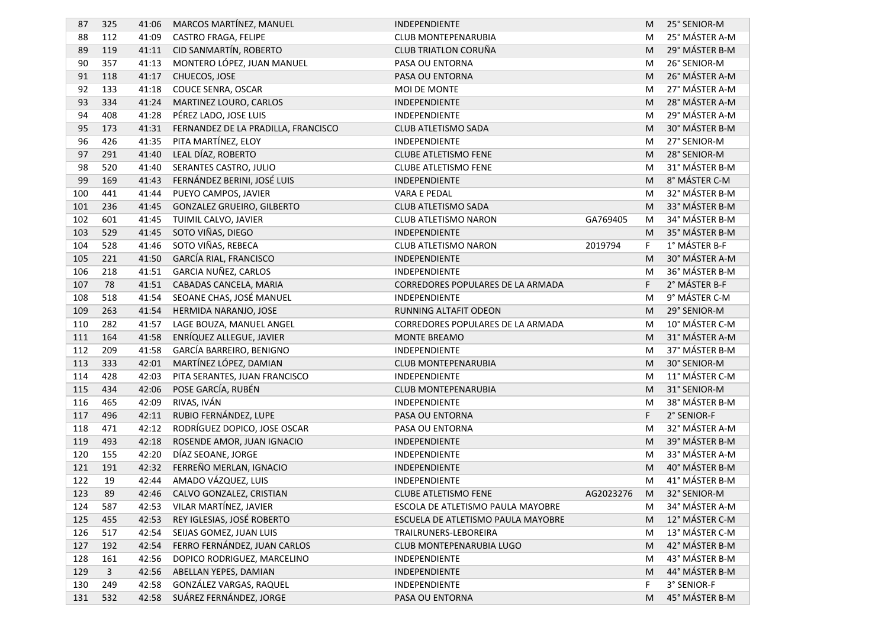| 87  | 325 | 41:06 | MARCOS MARTÍNEZ, MANUEL             | INDEPENDIENTE                            |           | M | 25° SENIOR-M   |
|-----|-----|-------|-------------------------------------|------------------------------------------|-----------|---|----------------|
| 88  | 112 | 41:09 | CASTRO FRAGA, FELIPE                | CLUB MONTEPENARUBIA                      |           | M | 25° MÁSTER A-M |
| 89  | 119 | 41:11 | CID SANMARTÍN, ROBERTO              | CLUB TRIATLON CORUÑA                     |           | M | 29° MÁSTER B-M |
| 90  | 357 | 41:13 | MONTERO LÓPEZ, JUAN MANUEL          | PASA OU ENTORNA                          |           | M | 26° SENIOR-M   |
| 91  | 118 | 41:17 | CHUECOS, JOSE                       | PASA OU ENTORNA                          |           | M | 26° MÁSTER A-M |
| 92  | 133 | 41:18 | COUCE SENRA, OSCAR                  | <b>MOI DE MONTE</b>                      |           | M | 27° MÁSTER A-M |
| 93  | 334 | 41:24 | MARTINEZ LOURO, CARLOS              | INDEPENDIENTE                            |           | M | 28° MÁSTER A-M |
| 94  | 408 | 41:28 | PÉREZ LADO, JOSE LUIS               | INDEPENDIENTE                            |           | M | 29° MÁSTER A-M |
| 95  | 173 | 41:31 | FERNANDEZ DE LA PRADILLA, FRANCISCO | CLUB ATLETISMO SADA                      |           | M | 30° MÁSTER B-M |
| 96  | 426 | 41:35 | PITA MARTÍNEZ, ELOY                 | INDEPENDIENTE                            |           | M | 27° SENIOR-M   |
| 97  | 291 | 41:40 | LEAL DÍAZ, ROBERTO                  | <b>CLUBE ATLETISMO FENE</b>              |           | M | 28° SENIOR-M   |
| 98  | 520 | 41:40 | SERANTES CASTRO, JULIO              | <b>CLUBE ATLETISMO FENE</b>              |           | M | 31° MÁSTER B-M |
| 99  | 169 | 41:43 | FERNÁNDEZ BERINI, JOSÉ LUIS         | INDEPENDIENTE                            |           | M | 8° MÁSTER C-M  |
| 100 | 441 | 41:44 | PUEYO CAMPOS, JAVIER                | <b>VARA E PEDAL</b>                      |           | M | 32° MÁSTER B-M |
| 101 | 236 | 41:45 | <b>GONZALEZ GRUEIRO, GILBERTO</b>   | <b>CLUB ATLETISMO SADA</b>               |           | M | 33° MÁSTER B-M |
| 102 | 601 | 41:45 | TUIMIL CALVO, JAVIER                | CLUB ATLETISMO NARON                     | GA769405  | M | 34° MÁSTER B-M |
| 103 | 529 | 41:45 | SOTO VIÑAS, DIEGO                   | INDEPENDIENTE                            |           | M | 35° MÁSTER B-M |
| 104 | 528 | 41:46 | SOTO VIÑAS, REBECA                  | CLUB ATLETISMO NARON                     | 2019794   | F | 1° MÁSTER B-F  |
| 105 | 221 | 41:50 | GARCÍA RIAL, FRANCISCO              | INDEPENDIENTE                            |           | M | 30° MÁSTER A-M |
| 106 | 218 | 41:51 | GARCIA NUÑEZ, CARLOS                | INDEPENDIENTE                            |           | M | 36° MÁSTER B-M |
| 107 | 78  | 41:51 | CABADAS CANCELA, MARIA              | CORREDORES POPULARES DE LA ARMADA        |           | F | 2° MÁSTER B-F  |
| 108 | 518 | 41:54 | SEOANE CHAS, JOSÉ MANUEL            | INDEPENDIENTE                            |           | M | 9° MÁSTER C-M  |
| 109 | 263 | 41:54 | HERMIDA NARANJO, JOSE               | RUNNING ALTAFIT ODEON                    |           | M | 29° SENIOR-M   |
| 110 | 282 | 41:57 | LAGE BOUZA, MANUEL ANGEL            | <b>CORREDORES POPULARES DE LA ARMADA</b> |           | M | 10° MÁSTER C-M |
| 111 | 164 | 41:58 | ENRÍQUEZ ALLEGUE, JAVIER            | MONTE BREAMO                             |           | M | 31° MÁSTER A-M |
| 112 | 209 | 41:58 | GARCÍA BARREIRO, BENIGNO            | INDEPENDIENTE                            |           | M | 37° MÁSTER B-M |
| 113 | 333 | 42:01 | MARTÍNEZ LÓPEZ, DAMIAN              | CLUB MONTEPENARUBIA                      |           | M | 30° SENIOR-M   |
| 114 | 428 | 42:03 | PITA SERANTES, JUAN FRANCISCO       | INDEPENDIENTE                            |           | M | 11° MÁSTER C-M |
| 115 | 434 | 42:06 | POSE GARCÍA, RUBÉN                  | CLUB MONTEPENARUBIA                      |           | M | 31° SENIOR-M   |
| 116 | 465 | 42:09 | RIVAS, IVÁN                         | INDEPENDIENTE                            |           | M | 38° MÁSTER B-M |
| 117 | 496 | 42:11 | RUBIO FERNÁNDEZ, LUPE               | PASA OU ENTORNA                          |           | F | 2° SENIOR-F    |
| 118 | 471 | 42:12 | RODRÍGUEZ DOPICO, JOSE OSCAR        | PASA OU ENTORNA                          |           | M | 32° MÁSTER A-M |
| 119 | 493 | 42:18 | ROSENDE AMOR, JUAN IGNACIO          | INDEPENDIENTE                            |           | M | 39° MÁSTER B-M |
| 120 | 155 | 42:20 | DÍAZ SEOANE, JORGE                  | INDEPENDIENTE                            |           | M | 33° MÁSTER A-M |
| 121 | 191 | 42:32 | FERREÑO MERLAN, IGNACIO             | INDEPENDIENTE                            |           | M | 40° MÁSTER B-M |
| 122 | 19  | 42:44 | AMADO VÁZQUEZ, LUIS                 | INDEPENDIENTE                            |           | М | 41° MÁSTER B-M |
| 123 | 89  |       | 42:46 CALVO GONZALEZ, CRISTIAN      | CLUBE ATLETISMO FENE                     | AG2023276 | M | 32° SENIOR-M   |
| 124 | 587 | 42:53 | VILAR MARTÍNEZ, JAVIER              | ESCOLA DE ATLETISMO PAULA MAYOBRE        |           | M | 34° MÁSTER A-M |
| 125 | 455 | 42:53 | REY IGLESIAS, JOSÉ ROBERTO          | ESCUELA DE ATLETISMO PAULA MAYOBRE       |           | M | 12° MÁSTER C-M |
| 126 | 517 | 42:54 | SEIJAS GOMEZ, JUAN LUIS             | TRAILRUNERS-LEBOREIRA                    |           | M | 13° MÁSTER C-M |
| 127 | 192 | 42:54 | FERRO FERNÁNDEZ, JUAN CARLOS        | CLUB MONTEPENARUBIA LUGO                 |           | M | 42° MÁSTER B-M |
| 128 | 161 | 42:56 | DOPICO RODRIGUEZ, MARCELINO         | INDEPENDIENTE                            |           | M | 43° MÁSTER B-M |
| 129 | 3   | 42:56 | ABELLAN YEPES, DAMIAN               | INDEPENDIENTE                            |           | M | 44° MÁSTER B-M |
| 130 | 249 | 42:58 | GONZÁLEZ VARGAS, RAQUEL             | INDEPENDIENTE                            |           | F | 3° SENIOR-F    |
| 131 | 532 | 42:58 | SUÁREZ FERNÁNDEZ, JORGE             | PASA OU ENTORNA                          |           | M | 45° MÁSTER B-M |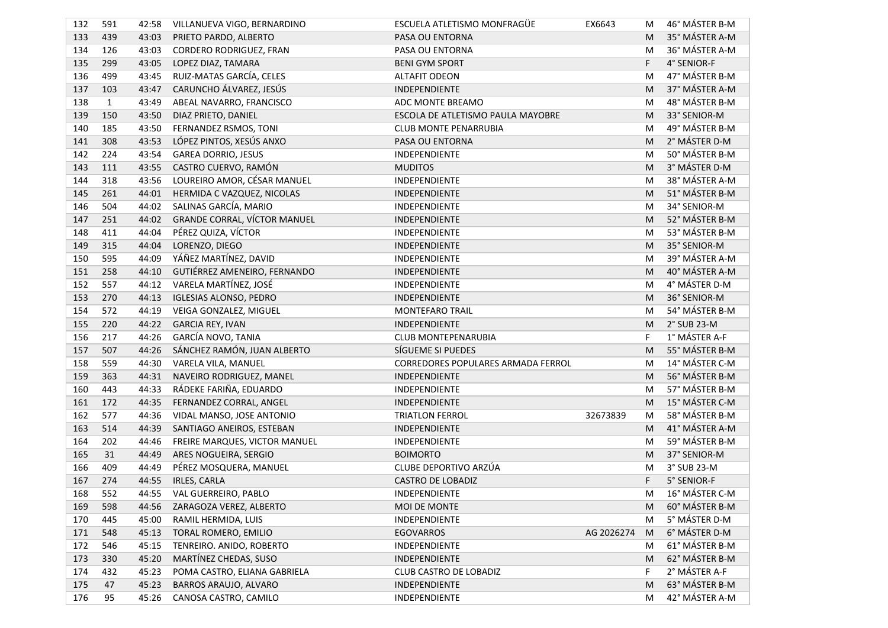| 132 | 591          | 42:58 | VILLANUEVA VIGO, BERNARDINO   | ESCUELA ATLETISMO MONFRAGÜE        | EX6643     | М | 46° MÁSTER B-M |
|-----|--------------|-------|-------------------------------|------------------------------------|------------|---|----------------|
| 133 | 439          | 43:03 | PRIETO PARDO, ALBERTO         | PASA OU ENTORNA                    |            | M | 35° MÁSTER A-M |
| 134 | 126          | 43:03 | CORDERO RODRIGUEZ, FRAN       | PASA OU ENTORNA                    |            | M | 36° MÁSTER A-M |
| 135 | 299          | 43:05 | LOPEZ DIAZ, TAMARA            | <b>BENI GYM SPORT</b>              |            | F | 4° SENIOR-F    |
| 136 | 499          | 43:45 | RUIZ-MATAS GARCÍA, CELES      | <b>ALTAFIT ODEON</b>               |            | M | 47° MÁSTER B-M |
| 137 | 103          | 43:47 | CARUNCHO ÁLVAREZ, JESÚS       | INDEPENDIENTE                      |            | M | 37° MÁSTER A-M |
| 138 | $\mathbf{1}$ | 43:49 | ABEAL NAVARRO, FRANCISCO      | ADC MONTE BREAMO                   |            | M | 48° MÁSTER B-M |
| 139 | 150          | 43:50 | DIAZ PRIETO, DANIEL           | ESCOLA DE ATLETISMO PAULA MAYOBRE  |            | M | 33° SENIOR-M   |
| 140 | 185          | 43:50 | FERNANDEZ RSMOS, TONI         | <b>CLUB MONTE PENARRUBIA</b>       |            | M | 49° MÁSTER B-M |
| 141 | 308          | 43:53 | LÓPEZ PINTOS, XESÚS ANXO      | PASA OU ENTORNA                    |            | M | 2° MÁSTER D-M  |
| 142 | 224          | 43:54 | <b>GAREA DORRIO, JESUS</b>    | INDEPENDIENTE                      |            | M | 50° MÁSTER B-M |
| 143 | 111          | 43:55 | CASTRO CUERVO, RAMÓN          | <b>MUDITOS</b>                     |            | M | 3° MÁSTER D-M  |
| 144 | 318          | 43:56 | LOUREIRO AMOR, CÉSAR MANUEL   | INDEPENDIENTE                      |            | M | 38° MÁSTER A-M |
| 145 | 261          | 44:01 | HERMIDA C VAZQUEZ, NICOLAS    | INDEPENDIENTE                      |            | M | 51° MÁSTER B-M |
| 146 | 504          | 44:02 | SALINAS GARCÍA, MARIO         | INDEPENDIENTE                      |            | M | 34° SENIOR-M   |
| 147 | 251          | 44:02 | GRANDE CORRAL, VÍCTOR MANUEL  | INDEPENDIENTE                      |            | M | 52° MÁSTER B-M |
| 148 | 411          | 44:04 | PÉREZ QUIZA, VÍCTOR           | INDEPENDIENTE                      |            | M | 53° MÁSTER B-M |
| 149 | 315          | 44:04 | LORENZO, DIEGO                | INDEPENDIENTE                      |            | M | 35° SENIOR-M   |
| 150 | 595          | 44:09 | YÁÑEZ MARTÍNEZ, DAVID         | INDEPENDIENTE                      |            | M | 39° MÁSTER A-M |
| 151 | 258          | 44:10 | GUTIÉRREZ AMENEIRO, FERNANDO  | INDEPENDIENTE                      |            | M | 40° MÁSTER A-M |
| 152 | 557          | 44:12 | VARELA MARTÍNEZ, JOSÉ         | INDEPENDIENTE                      |            | M | 4° MÁSTER D-M  |
| 153 | 270          | 44:13 | <b>IGLESIAS ALONSO, PEDRO</b> | INDEPENDIENTE                      |            | M | 36° SENIOR-M   |
| 154 | 572          | 44:19 | VEIGA GONZALEZ, MIGUEL        | MONTEFARO TRAIL                    |            | M | 54° MÁSTER B-M |
| 155 | 220          | 44:22 | <b>GARCIA REY, IVAN</b>       | INDEPENDIENTE                      |            | M | 2° SUB 23-M    |
| 156 | 217          | 44:26 | GARCÍA NOVO, TANIA            | <b>CLUB MONTEPENARUBIA</b>         |            | F | 1° MÁSTER A-F  |
| 157 | 507          | 44:26 | SÁNCHEZ RAMÓN, JUAN ALBERTO   | SÍGUEME SI PUEDES                  |            | M | 55° MÁSTER B-M |
| 158 | 559          | 44:30 | VARELA VILA, MANUEL           | CORREDORES POPULARES ARMADA FERROL |            | M | 14° MÁSTER C-M |
| 159 | 363          | 44:31 | NAVEIRO RODRIGUEZ, MANEL      | INDEPENDIENTE                      |            | M | 56° MÁSTER B-M |
| 160 | 443          | 44:33 | RÁDEKE FARIÑA, EDUARDO        | INDEPENDIENTE                      |            | M | 57° MÁSTER B-M |
| 161 | 172          | 44:35 | FERNANDEZ CORRAL, ANGEL       | INDEPENDIENTE                      |            | M | 15° MÁSTER C-M |
| 162 | 577          | 44:36 | VIDAL MANSO, JOSE ANTONIO     | <b>TRIATLON FERROL</b>             | 32673839   | M | 58° MÁSTER B-M |
| 163 | 514          | 44:39 | SANTIAGO ANEIROS, ESTEBAN     | INDEPENDIENTE                      |            | M | 41° MÁSTER A-M |
| 164 | 202          | 44:46 | FREIRE MARQUES, VICTOR MANUEL | INDEPENDIENTE                      |            | M | 59° MÁSTER B-M |
| 165 | 31           | 44:49 | ARES NOGUEIRA, SERGIO         | <b>BOIMORTO</b>                    |            | M | 37° SENIOR-M   |
| 166 | 409          | 44:49 | PÉREZ MOSQUERA, MANUEL        | CLUBE DEPORTIVO ARZÚA              |            | M | 3° SUB 23-M    |
| 167 | 274          | 44:55 | IRLES, CARLA                  | <b>CASTRO DE LOBADIZ</b>           |            | F | 5° SENIOR-F    |
| 168 | 552          |       | 44:55 VAL GUERREIRO, PABLO    | INDEPENDIENTE                      |            | M | 16° MÁSTER C-M |
| 169 | 598          | 44:56 | ZARAGOZA VEREZ, ALBERTO       | MOI DE MONTE                       |            | M | 60° MÁSTER B-M |
| 170 | 445          | 45:00 | RAMIL HERMIDA, LUIS           | INDEPENDIENTE                      |            | M | 5° MÁSTER D-M  |
| 171 | 548          | 45:13 | TORAL ROMERO, EMILIO          | <b>EGOVARROS</b>                   | AG 2026274 | M | 6° MÁSTER D-M  |
| 172 | 546          | 45:15 | TENREIRO. ANIDO, ROBERTO      | INDEPENDIENTE                      |            | M | 61° MÁSTER B-M |
| 173 | 330          | 45:20 | MARTÍNEZ CHEDAS, SUSO         | INDEPENDIENTE                      |            | M | 62° MÁSTER B-M |
| 174 | 432          | 45:23 | POMA CASTRO, ELIANA GABRIELA  | CLUB CASTRO DE LOBADIZ             |            | F | 2° MÁSTER A-F  |
| 175 | 47           | 45:23 | BARROS ARAUJO, ALVARO         | INDEPENDIENTE                      |            | M | 63° MÁSTER B-M |
| 176 | 95           | 45:26 | CANOSA CASTRO, CAMILO         | INDEPENDIENTE                      |            | M | 42° MÁSTER A-M |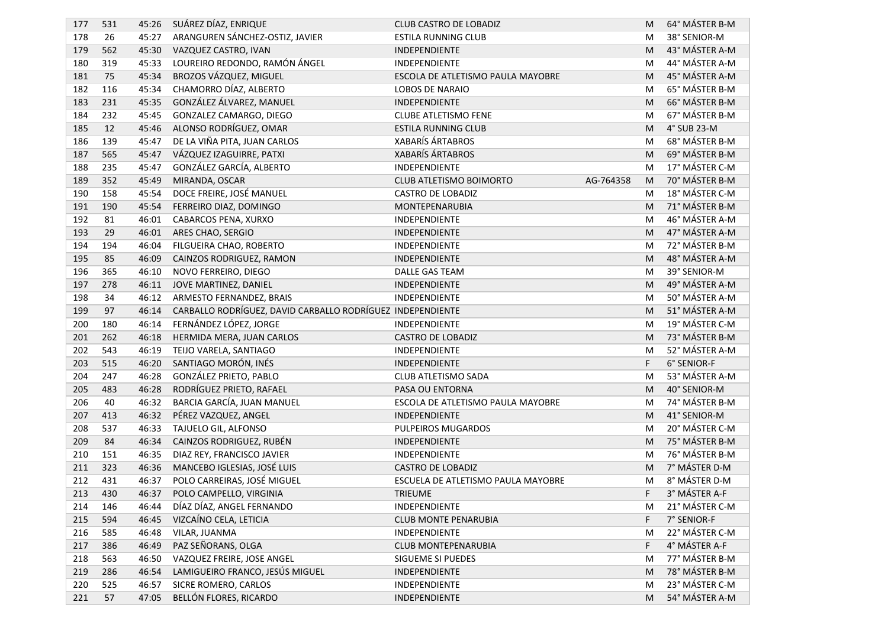| 177 | 531 | 45:26 | SUÁREZ DÍAZ, ENRIQUE                                       | CLUB CASTRO DE LOBADIZ             |           | M | 64° MÁSTER B-M |
|-----|-----|-------|------------------------------------------------------------|------------------------------------|-----------|---|----------------|
| 178 | 26  | 45:27 | ARANGUREN SÁNCHEZ-OSTIZ, JAVIER                            | <b>ESTILA RUNNING CLUB</b>         |           | M | 38° SENIOR-M   |
| 179 | 562 | 45:30 | VAZQUEZ CASTRO, IVAN                                       | INDEPENDIENTE                      |           | M | 43° MÁSTER A-M |
| 180 | 319 | 45:33 | LOUREIRO REDONDO, RAMÓN ÁNGEL                              | INDEPENDIENTE                      |           | M | 44° MÁSTER A-M |
| 181 | 75  | 45:34 | BROZOS VÁZQUEZ, MIGUEL                                     | ESCOLA DE ATLETISMO PAULA MAYOBRE  |           | M | 45° MÁSTER A-M |
| 182 | 116 | 45:34 | CHAMORRO DÍAZ, ALBERTO                                     | <b>LOBOS DE NARAIO</b>             |           | M | 65° MÁSTER B-M |
| 183 | 231 | 45:35 | GONZÁLEZ ÁLVAREZ, MANUEL                                   | INDEPENDIENTE                      |           | M | 66° MÁSTER B-M |
| 184 | 232 | 45:45 | GONZALEZ CAMARGO, DIEGO                                    | <b>CLUBE ATLETISMO FENE</b>        |           | M | 67° MÁSTER B-M |
| 185 | 12  | 45:46 | ALONSO RODRÍGUEZ, OMAR                                     | <b>ESTILA RUNNING CLUB</b>         |           | M | 4° SUB 23-M    |
| 186 | 139 | 45:47 | DE LA VIÑA PITA, JUAN CARLOS                               | <b>XABARÍS ÁRTABROS</b>            |           | M | 68° MÁSTER B-M |
| 187 | 565 | 45:47 | VÁZQUEZ IZAGUIRRE, PATXI                                   | <b>XABARÍS ÁRTABROS</b>            |           | M | 69° MÁSTER B-M |
| 188 | 235 | 45:47 | GONZÁLEZ GARCÍA, ALBERTO                                   | INDEPENDIENTE                      |           | M | 17° MÁSTER C-M |
| 189 | 352 | 45:49 | MIRANDA, OSCAR                                             | CLUB ATLETISMO BOIMORTO            | AG-764358 | M | 70° MÁSTER B-M |
| 190 | 158 | 45:54 | DOCE FREIRE, JOSÉ MANUEL                                   | <b>CASTRO DE LOBADIZ</b>           |           | M | 18° MÁSTER C-M |
| 191 | 190 | 45:54 | FERREIRO DIAZ, DOMINGO                                     | MONTEPENARUBIA                     |           | M | 71° MÁSTER B-M |
| 192 | 81  | 46:01 | CABARCOS PENA, XURXO                                       | INDEPENDIENTE                      |           | M | 46° MÁSTER A-M |
| 193 | 29  | 46:01 | ARES CHAO, SERGIO                                          | INDEPENDIENTE                      |           | M | 47° MÁSTER A-M |
| 194 | 194 | 46:04 | FILGUEIRA CHAO, ROBERTO                                    | INDEPENDIENTE                      |           | M | 72° MÁSTER B-M |
| 195 | 85  | 46:09 | CAINZOS RODRIGUEZ, RAMON                                   | <b>INDEPENDIENTE</b>               |           | M | 48° MÁSTER A-M |
| 196 | 365 | 46:10 | NOVO FERREIRO, DIEGO                                       | <b>DALLE GAS TEAM</b>              |           | M | 39° SENIOR-M   |
| 197 | 278 | 46:11 | JOVE MARTINEZ, DANIEL                                      | INDEPENDIENTE                      |           | M | 49° MÁSTER A-M |
| 198 | 34  | 46:12 | ARMESTO FERNANDEZ, BRAIS                                   | INDEPENDIENTE                      |           | M | 50° MÁSTER A-M |
| 199 | 97  | 46:14 | CARBALLO RODRÍGUEZ, DAVID CARBALLO RODRÍGUEZ INDEPENDIENTE |                                    |           | M | 51° MÁSTER A-M |
| 200 | 180 | 46:14 | FERNÁNDEZ LÓPEZ, JORGE                                     | <b>INDEPENDIENTE</b>               |           | M | 19° MÁSTER C-M |
| 201 | 262 | 46:18 | HERMIDA MERA, JUAN CARLOS                                  | <b>CASTRO DE LOBADIZ</b>           |           | M | 73° MÁSTER B-M |
| 202 | 543 | 46:19 | TEIJO VARELA, SANTIAGO                                     | INDEPENDIENTE                      |           | M | 52° MÁSTER A-M |
| 203 | 515 | 46:20 | SANTIAGO MORÓN, INÉS                                       | INDEPENDIENTE                      |           | F | 6° SENIOR-F    |
| 204 | 247 | 46:28 | GONZÁLEZ PRIETO, PABLO                                     | CLUB ATLETISMO SADA                |           | M | 53° MÁSTER A-M |
| 205 | 483 | 46:28 | RODRÍGUEZ PRIETO, RAFAEL                                   | PASA OU ENTORNA                    |           | M | 40° SENIOR-M   |
| 206 | 40  | 46:32 | BARCIA GARCÍA, JUAN MANUEL                                 | ESCOLA DE ATLETISMO PAULA MAYOBRE  |           | M | 74° MÁSTER B-M |
| 207 | 413 | 46:32 | PÉREZ VAZQUEZ, ANGEL                                       | INDEPENDIENTE                      |           | M | 41° SENIOR-M   |
| 208 | 537 | 46:33 | TAJUELO GIL, ALFONSO                                       | <b>PULPEIROS MUGARDOS</b>          |           | M | 20° MÁSTER C-M |
| 209 | 84  | 46:34 | CAINZOS RODRIGUEZ, RUBÉN                                   | INDEPENDIENTE                      |           | M | 75° MÁSTER B-M |
| 210 | 151 | 46:35 | DIAZ REY, FRANCISCO JAVIER                                 | INDEPENDIENTE                      |           | M | 76° MÁSTER B-M |
| 211 | 323 | 46:36 | MANCEBO IGLESIAS, JOSÉ LUIS                                | <b>CASTRO DE LOBADIZ</b>           |           | M | 7° MÁSTER D-M  |
| 212 | 431 | 46:37 | POLO CARREIRAS, JOSÉ MIGUEL                                | ESCUELA DE ATLETISMO PAULA MAYOBRE |           | M | 8° MÁSTER D-M  |
| 213 | 430 | 46:37 | POLO CAMPELLO, VIRGINIA                                    | TRIEUME                            |           |   | 3° MÁSTER A-F  |
| 214 | 146 | 46:44 | DÍAZ DÍAZ, ANGEL FERNANDO                                  | INDEPENDIENTE                      |           | M | 21° MÁSTER C-M |
| 215 | 594 | 46:45 | VIZCAÍNO CELA, LETICIA                                     | <b>CLUB MONTE PENARUBIA</b>        |           | F | 7° SENIOR-F    |
| 216 | 585 | 46:48 | VILAR, JUANMA                                              | INDEPENDIENTE                      |           | M | 22° MÁSTER C-M |
| 217 | 386 | 46:49 | PAZ SEÑORANS, OLGA                                         | CLUB MONTEPENARUBIA                |           | F | 4° MÁSTER A-F  |
| 218 | 563 | 46:50 | VAZQUEZ FREIRE, JOSE ANGEL                                 | SIGUEME SI PUEDES                  |           | M | 77° MÁSTER B-M |
| 219 | 286 | 46:54 | LAMIGUEIRO FRANCO, JESÚS MIGUEL                            | INDEPENDIENTE                      |           | M | 78° MÁSTER B-M |
| 220 | 525 | 46:57 | SICRE ROMERO, CARLOS                                       | INDEPENDIENTE                      |           | M | 23° MÁSTER C-M |
| 221 | 57  | 47:05 | BELLÓN FLORES, RICARDO                                     | INDEPENDIENTE                      |           | M | 54° MÁSTER A-M |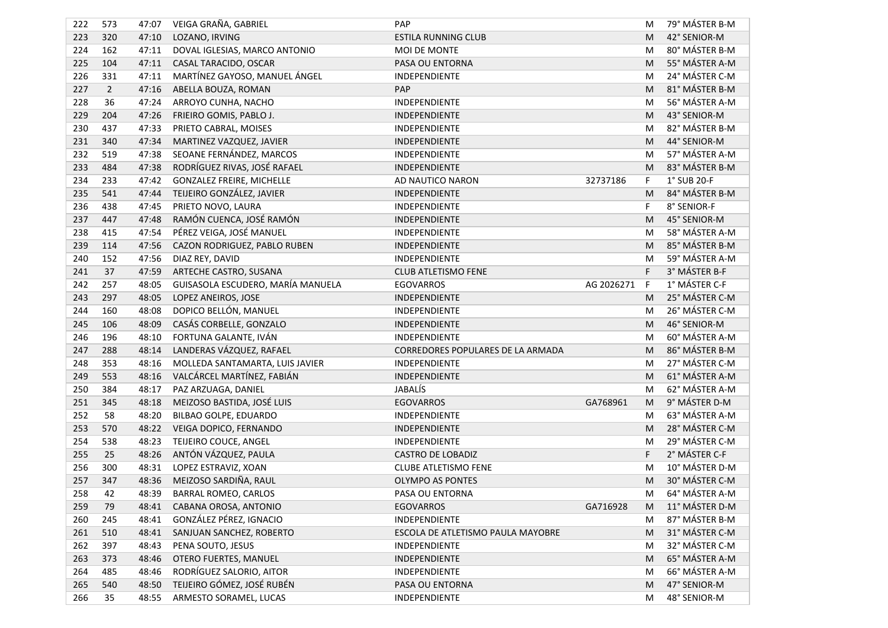| 222 | 573            | 47:07 | VEIGA GRAÑA, GABRIEL              | PAP                               |            | M | 79° MÁSTER B-M |
|-----|----------------|-------|-----------------------------------|-----------------------------------|------------|---|----------------|
| 223 | 320            | 47:10 | LOZANO, IRVING                    | <b>ESTILA RUNNING CLUB</b>        |            | M | 42° SENIOR-M   |
| 224 | 162            | 47:11 | DOVAL IGLESIAS, MARCO ANTONIO     | MOI DE MONTE                      |            | M | 80° MÁSTER B-M |
| 225 | 104            | 47:11 | CASAL TARACIDO, OSCAR             | PASA OU ENTORNA                   |            | M | 55° MÁSTER A-M |
| 226 | 331            | 47:11 | MARTÍNEZ GAYOSO, MANUEL ÁNGEL     | INDEPENDIENTE                     |            | M | 24° MÁSTER C-M |
| 227 | $\overline{2}$ | 47:16 | ABELLA BOUZA, ROMAN               | PAP                               |            | M | 81° MÁSTER B-M |
| 228 | 36             | 47:24 | ARROYO CUNHA, NACHO               | <b>INDEPENDIENTE</b>              |            | M | 56° MÁSTER A-M |
| 229 | 204            | 47:26 | FRIEIRO GOMIS, PABLO J.           | INDEPENDIENTE                     |            | M | 43° SENIOR-M   |
| 230 | 437            | 47:33 | PRIETO CABRAL, MOISES             | INDEPENDIENTE                     |            | M | 82° MÁSTER B-M |
| 231 | 340            | 47:34 | MARTINEZ VAZQUEZ, JAVIER          | INDEPENDIENTE                     |            | M | 44° SENIOR-M   |
| 232 | 519            | 47:38 | SEOANE FERNÁNDEZ, MARCOS          | INDEPENDIENTE                     |            | M | 57° MÁSTER A-M |
| 233 | 484            | 47:38 | RODRÍGUEZ RIVAS, JOSÉ RAFAEL      | INDEPENDIENTE                     |            | M | 83° MÁSTER B-M |
| 234 | 233            | 47:42 | <b>GONZALEZ FREIRE, MICHELLE</b>  | AD NAUTICO NARON                  | 32737186   | F | 1° SUB 20-F    |
| 235 | 541            | 47:44 | TEIJEIRO GONZÁLEZ, JAVIER         | INDEPENDIENTE                     |            | M | 84° MÁSTER B-M |
| 236 | 438            | 47:45 | PRIETO NOVO, LAURA                | INDEPENDIENTE                     |            | F | 8° SENIOR-F    |
| 237 | 447            | 47:48 | RAMÓN CUENCA, JOSÉ RAMÓN          | INDEPENDIENTE                     |            | M | 45° SENIOR-M   |
| 238 | 415            | 47:54 | PÉREZ VEIGA, JOSÉ MANUEL          | INDEPENDIENTE                     |            | M | 58° MÁSTER A-M |
| 239 | 114            | 47:56 | CAZON RODRIGUEZ, PABLO RUBEN      | INDEPENDIENTE                     |            | M | 85° MÁSTER B-M |
| 240 | 152            | 47:56 | DIAZ REY, DAVID                   | INDEPENDIENTE                     |            | M | 59° MÁSTER A-M |
| 241 | 37             | 47:59 | ARTECHE CASTRO, SUSANA            | CLUB ATLETISMO FENE               |            | F | 3° MÁSTER B-F  |
| 242 | 257            | 48:05 | GUISASOLA ESCUDERO, MARÍA MANUELA | <b>EGOVARROS</b>                  | AG 2026271 | F | 1° MÁSTER C-F  |
| 243 | 297            | 48:05 | LOPEZ ANEIROS, JOSE               | INDEPENDIENTE                     |            | M | 25° MÁSTER C-M |
| 244 | 160            | 48:08 | DOPICO BELLÓN, MANUEL             | INDEPENDIENTE                     |            | M | 26° MÁSTER C-M |
| 245 | 106            | 48:09 | CASÁS CORBELLE, GONZALO           | INDEPENDIENTE                     |            | M | 46° SENIOR-M   |
| 246 | 196            | 48:10 | FORTUNA GALANTE, IVÁN             | INDEPENDIENTE                     |            | M | 60° MÁSTER A-M |
| 247 | 288            | 48:14 | LANDERAS VÁZQUEZ, RAFAEL          | CORREDORES POPULARES DE LA ARMADA |            | M | 86° MÁSTER B-M |
| 248 | 353            | 48:16 | MOLLEDA SANTAMARTA, LUIS JAVIER   | INDEPENDIENTE                     |            | M | 27° MÁSTER C-M |
| 249 | 553            | 48:16 | VALCÁRCEL MARTÍNEZ, FABIÁN        | INDEPENDIENTE                     |            | M | 61° MÁSTER A-M |
| 250 | 384            | 48:17 | PAZ ARZUAGA, DANIEL               | JABALÍS                           |            | M | 62° MÁSTER A-M |
| 251 | 345            | 48:18 | MEIZOSO BASTIDA, JOSÉ LUIS        | <b>EGOVARROS</b>                  | GA768961   | M | 9° MÁSTER D-M  |
| 252 | 58             | 48:20 | BILBAO GOLPE, EDUARDO             | INDEPENDIENTE                     |            | M | 63° MÁSTER A-M |
| 253 | 570            | 48:22 | VEIGA DOPICO, FERNANDO            | INDEPENDIENTE                     |            | M | 28° MÁSTER C-M |
| 254 | 538            | 48:23 | TEIJEIRO COUCE, ANGEL             | INDEPENDIENTE                     |            | M | 29° MÁSTER C-M |
| 255 | 25             | 48:26 | ANTÓN VÁZQUEZ, PAULA              | <b>CASTRO DE LOBADIZ</b>          |            | F | 2° MÁSTER C-F  |
| 256 | 300            | 48:31 | LOPEZ ESTRAVIZ, XOAN              | <b>CLUBE ATLETISMO FENE</b>       |            | M | 10° MÁSTER D-M |
| 257 | 347            | 48:36 | MEIZOSO SARDIÑA, RAUL             | <b>OLYMPO AS PONTES</b>           |            | M | 30° MÁSTER C-M |
| 258 | 42             | 48:39 | <b>BARRAL ROMEO, CARLOS</b>       | PASA OU ENTORNA                   |            | M | 64° MÁSTER A-M |
| 259 | 79             | 48:41 | CABANA OROSA, ANTONIO             | <b>EGOVARROS</b>                  | GA716928   | M | 11° MÁSTER D-M |
| 260 | 245            | 48:41 | GONZÁLEZ PÉREZ, IGNACIO           | INDEPENDIENTE                     |            | M | 87° MÁSTER B-M |
| 261 | 510            | 48:41 | SANJUAN SANCHEZ, ROBERTO          | ESCOLA DE ATLETISMO PAULA MAYOBRE |            | M | 31° MÁSTER C-M |
| 262 | 397            | 48:43 | PENA SOUTO, JESUS                 | INDEPENDIENTE                     |            | M | 32° MÁSTER C-M |
| 263 | 373            | 48:46 | OTERO FUERTES, MANUEL             | INDEPENDIENTE                     |            | M | 65° MÁSTER A-M |
| 264 | 485            | 48:46 | RODRÍGUEZ SALORIO, AITOR          | INDEPENDIENTE                     |            | M | 66° MÁSTER A-M |
| 265 | 540            | 48:50 | TEIJEIRO GÓMEZ, JOSÉ RUBÉN        | PASA OU ENTORNA                   |            | M | 47° SENIOR-M   |
| 266 | 35             | 48:55 | ARMESTO SORAMEL, LUCAS            | INDEPENDIENTE                     |            | M | 48° SENIOR-M   |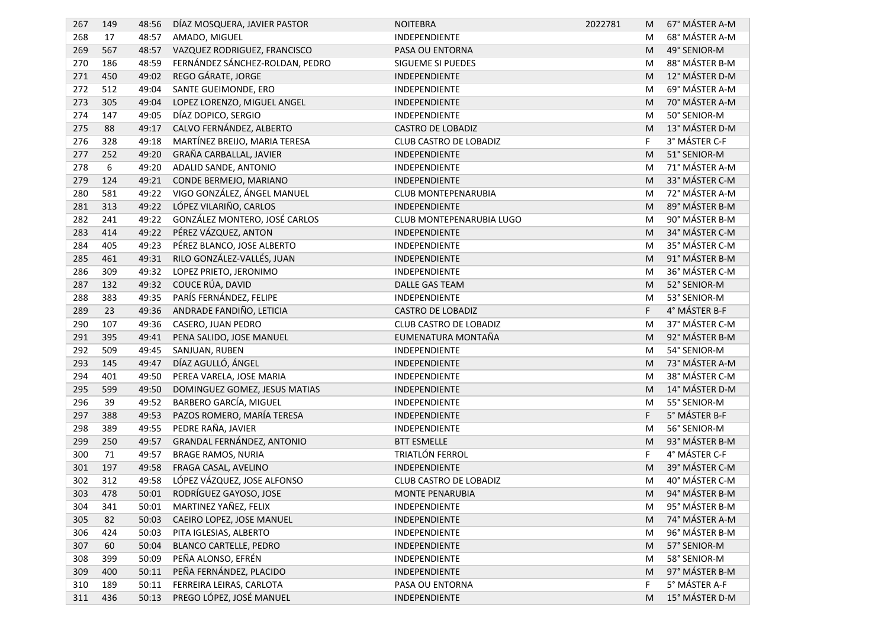| 267 | 149 | 48:56 | DÍAZ MOSQUERA, JAVIER PASTOR    | <b>NOITEBRA</b>               | 2022781 | M | 67° MÁSTER A-M |
|-----|-----|-------|---------------------------------|-------------------------------|---------|---|----------------|
| 268 | 17  | 48:57 | AMADO, MIGUEL                   | INDEPENDIENTE                 |         | M | 68° MÁSTER A-M |
| 269 | 567 | 48:57 | VAZQUEZ RODRIGUEZ, FRANCISCO    | PASA OU ENTORNA               |         | M | 49° SENIOR-M   |
| 270 | 186 | 48:59 | FERNÁNDEZ SÁNCHEZ-ROLDAN, PEDRO | SIGUEME SI PUEDES             |         | M | 88° MÁSTER B-M |
| 271 | 450 | 49:02 | REGO GÁRATE, JORGE              | INDEPENDIENTE                 |         | M | 12° MÁSTER D-M |
| 272 | 512 | 49:04 | SANTE GUEIMONDE, ERO            | INDEPENDIENTE                 |         | M | 69° MÁSTER A-M |
| 273 | 305 | 49:04 | LOPEZ LORENZO, MIGUEL ANGEL     | INDEPENDIENTE                 |         | M | 70° MÁSTER A-M |
| 274 | 147 | 49:05 | DÍAZ DOPICO, SERGIO             | INDEPENDIENTE                 |         | M | 50° SENIOR-M   |
| 275 | 88  | 49:17 | CALVO FERNÁNDEZ, ALBERTO        | <b>CASTRO DE LOBADIZ</b>      |         | M | 13° MÁSTER D-M |
| 276 | 328 | 49:18 | MARTÍNEZ BREIJO, MARIA TERESA   | CLUB CASTRO DE LOBADIZ        |         | F | 3° MÁSTER C-F  |
| 277 | 252 | 49:20 | GRAÑA CARBALLAL, JAVIER         | INDEPENDIENTE                 |         | M | 51° SENIOR-M   |
| 278 | 6   | 49:20 | ADALID SANDE, ANTONIO           | INDEPENDIENTE                 |         | M | 71° MÁSTER A-M |
| 279 | 124 | 49:21 | CONDE BERMEJO, MARIANO          | INDEPENDIENTE                 |         | M | 33° MÁSTER C-M |
| 280 | 581 | 49:22 | VIGO GONZÁLEZ, ÁNGEL MANUEL     | CLUB MONTEPENARUBIA           |         | M | 72° MÁSTER A-M |
| 281 | 313 | 49:22 | LÓPEZ VILARIÑO, CARLOS          | INDEPENDIENTE                 |         | M | 89° MÁSTER B-M |
| 282 | 241 | 49:22 | GONZÁLEZ MONTERO, JOSÉ CARLOS   | CLUB MONTEPENARUBIA LUGO      |         | M | 90° MÁSTER B-M |
| 283 | 414 | 49:22 | PÉREZ VÁZQUEZ, ANTON            | INDEPENDIENTE                 |         | M | 34° MÁSTER C-M |
| 284 | 405 | 49:23 | PÉREZ BLANCO, JOSE ALBERTO      | INDEPENDIENTE                 |         | M | 35° MÁSTER C-M |
| 285 | 461 | 49:31 | RILO GONZÁLEZ-VALLÉS, JUAN      | <b>INDEPENDIENTE</b>          |         | M | 91° MÁSTER B-M |
| 286 | 309 | 49:32 | LOPEZ PRIETO, JERONIMO          | INDEPENDIENTE                 |         | M | 36° MÁSTER C-M |
| 287 | 132 | 49:32 | COUCE RÚA, DAVID                | DALLE GAS TEAM                |         | M | 52° SENIOR-M   |
| 288 | 383 | 49:35 | PARÍS FERNÁNDEZ, FELIPE         | INDEPENDIENTE                 |         | M | 53° SENIOR-M   |
| 289 | 23  | 49:36 | ANDRADE FANDIÑO, LETICIA        | <b>CASTRO DE LOBADIZ</b>      |         | F | 4° MÁSTER B-F  |
| 290 | 107 | 49:36 | CASERO, JUAN PEDRO              | <b>CLUB CASTRO DE LOBADIZ</b> |         | M | 37° MÁSTER C-M |
| 291 | 395 | 49:41 | PENA SALIDO, JOSE MANUEL        | EUMENATURA MONTAÑA            |         | M | 92° MÁSTER B-M |
| 292 | 509 | 49:45 | SANJUAN, RUBEN                  | INDEPENDIENTE                 |         | M | 54° SENIOR-M   |
| 293 | 145 | 49:47 | DÍAZ AGULLÓ, ÁNGEL              | INDEPENDIENTE                 |         | M | 73° MÁSTER A-M |
| 294 | 401 | 49:50 | PEREA VARELA, JOSE MARIA        | <b>INDEPENDIENTE</b>          |         | M | 38° MÁSTER C-M |
| 295 | 599 | 49:50 | DOMINGUEZ GOMEZ, JESUS MATIAS   | INDEPENDIENTE                 |         | M | 14° MÁSTER D-M |
| 296 | 39  | 49:52 | BARBERO GARCÍA, MIGUEL          | INDEPENDIENTE                 |         | M | 55° SENIOR-M   |
| 297 | 388 | 49:53 | PAZOS ROMERO, MARÍA TERESA      | INDEPENDIENTE                 |         | F | 5° MÁSTER B-F  |
| 298 | 389 | 49:55 | PEDRE RAÑA, JAVIER              | INDEPENDIENTE                 |         | M | 56° SENIOR-M   |
| 299 | 250 | 49:57 | GRANDAL FERNÁNDEZ, ANTONIO      | <b>BTT ESMELLE</b>            |         | M | 93° MÁSTER B-M |
| 300 | 71  | 49:57 | <b>BRAGE RAMOS, NURIA</b>       | TRIATLÓN FERROL               |         | F | 4° MÁSTER C-F  |
| 301 | 197 | 49:58 | FRAGA CASAL, AVELINO            | INDEPENDIENTE                 |         | M | 39° MÁSTER C-M |
| 302 | 312 | 49:58 | LÓPEZ VÁZQUEZ, JOSE ALFONSO     | <b>CLUB CASTRO DE LOBADIZ</b> |         | M | 40° MÁSTER C-M |
| 303 | 478 |       | 50:01 RODRÍGUEZ GAYOSO, JOSE    | MONTE PENARUBIA               |         |   | 94° MÁSTER B-M |
| 304 | 341 | 50:01 | MARTINEZ YAÑEZ, FELIX           | INDEPENDIENTE                 |         | M | 95° MÁSTER B-M |
| 305 | 82  | 50:03 | CAEIRO LOPEZ, JOSE MANUEL       | INDEPENDIENTE                 |         | M | 74° MÁSTER A-M |
| 306 | 424 | 50:03 | PITA IGLESIAS, ALBERTO          | INDEPENDIENTE                 |         | M | 96° MÁSTER B-M |
| 307 | 60  | 50:04 | <b>BLANCO CARTELLE, PEDRO</b>   | INDEPENDIENTE                 |         | M | 57° SENIOR-M   |
| 308 | 399 | 50:09 | PEÑA ALONSO, EFRÉN              | INDEPENDIENTE                 |         | M | 58° SENIOR-M   |
| 309 | 400 | 50:11 | PEÑA FERNÁNDEZ, PLACIDO         | INDEPENDIENTE                 |         | M | 97° MÁSTER B-M |
| 310 | 189 | 50:11 | FERREIRA LEIRAS, CARLOTA        | PASA OU ENTORNA               |         | F | 5° MÁSTER A-F  |
| 311 | 436 | 50:13 | PREGO LÓPEZ, JOSÉ MANUEL        | INDEPENDIENTE                 |         | M | 15° MÁSTER D-M |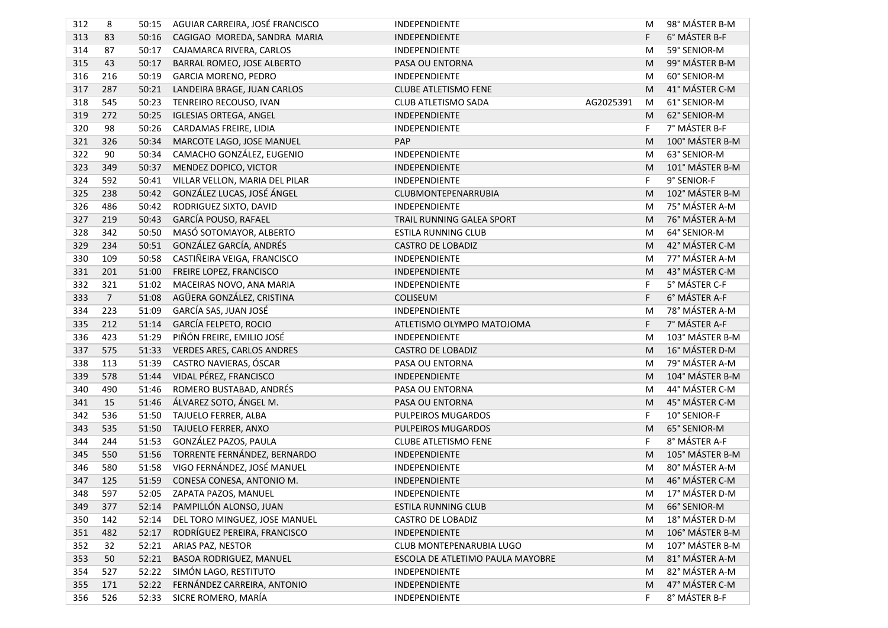| 312 | 8              | 50:15 | AGUIAR CARREIRA, JOSÉ FRANCISCO | INDEPENDIENTE                    |           | M | 98° MÁSTER B-M  |
|-----|----------------|-------|---------------------------------|----------------------------------|-----------|---|-----------------|
| 313 | 83             | 50:16 | CAGIGAO MOREDA, SANDRA MARIA    | INDEPENDIENTE                    |           | F | 6° MÁSTER B-F   |
| 314 | 87             | 50:17 | CAJAMARCA RIVERA, CARLOS        | INDEPENDIENTE                    |           | M | 59° SENIOR-M    |
| 315 | 43             | 50:17 | BARRAL ROMEO, JOSE ALBERTO      | PASA OU ENTORNA                  |           | M | 99° MÁSTER B-M  |
| 316 | 216            | 50:19 | GARCIA MORENO, PEDRO            | INDEPENDIENTE                    |           | M | 60° SENIOR-M    |
| 317 | 287            | 50:21 | LANDEIRA BRAGE, JUAN CARLOS     | <b>CLUBE ATLETISMO FENE</b>      |           | M | 41° MÁSTER C-M  |
| 318 | 545            | 50:23 | TENREIRO RECOUSO, IVAN          | CLUB ATLETISMO SADA              | AG2025391 | M | 61° SENIOR-M    |
| 319 | 272            | 50:25 | <b>IGLESIAS ORTEGA, ANGEL</b>   | INDEPENDIENTE                    |           | M | 62° SENIOR-M    |
| 320 | 98             | 50:26 | CARDAMAS FREIRE, LIDIA          | INDEPENDIENTE                    |           | F | 7° MÁSTER B-F   |
| 321 | 326            | 50:34 | MARCOTE LAGO, JOSE MANUEL       | PAP                              |           | M | 100° MÁSTER B-M |
| 322 | 90             | 50:34 | CAMACHO GONZÁLEZ, EUGENIO       | INDEPENDIENTE                    |           | M | 63° SENIOR-M    |
| 323 | 349            | 50:37 | MENDEZ DOPICO, VICTOR           | INDEPENDIENTE                    |           | M | 101° MÁSTER B-M |
| 324 | 592            | 50:41 | VILLAR VELLON, MARIA DEL PILAR  | INDEPENDIENTE                    |           | F | 9° SENIOR-F     |
| 325 | 238            | 50:42 | GONZÁLEZ LUCAS, JOSÉ ÁNGEL      | CLUBMONTEPENARRUBIA              |           | M | 102° MÁSTER B-M |
| 326 | 486            | 50:42 | RODRIGUEZ SIXTO, DAVID          | INDEPENDIENTE                    |           | M | 75° MÁSTER A-M  |
| 327 | 219            | 50:43 | GARCÍA POUSO, RAFAEL            | TRAIL RUNNING GALEA SPORT        |           | M | 76° MÁSTER A-M  |
| 328 | 342            | 50:50 | MASÓ SOTOMAYOR, ALBERTO         | <b>ESTILA RUNNING CLUB</b>       |           | M | 64° SENIOR-M    |
| 329 | 234            | 50:51 | GONZÁLEZ GARCÍA, ANDRÉS         | <b>CASTRO DE LOBADIZ</b>         |           | M | 42° MÁSTER C-M  |
| 330 | 109            | 50:58 | CASTIÑEIRA VEIGA, FRANCISCO     | INDEPENDIENTE                    |           | M | 77° MÁSTER A-M  |
| 331 | 201            | 51:00 | FREIRE LOPEZ, FRANCISCO         | INDEPENDIENTE                    |           | M | 43° MÁSTER C-M  |
| 332 | 321            | 51:02 | MACEIRAS NOVO, ANA MARIA        | INDEPENDIENTE                    |           | F | 5° MÁSTER C-F   |
| 333 | $\overline{7}$ | 51:08 | AGÜERA GONZÁLEZ, CRISTINA       | COLISEUM                         |           | F | 6° MÁSTER A-F   |
| 334 | 223            | 51:09 | GARCÍA SAS, JUAN JOSÉ           | INDEPENDIENTE                    |           | M | 78° MÁSTER A-M  |
| 335 | 212            | 51:14 | <b>GARCÍA FELPETO, ROCIO</b>    | ATLETISMO OLYMPO MATOJOMA        |           | F | 7° MÁSTER A-F   |
| 336 | 423            | 51:29 | PIÑÓN FREIRE, EMILIO JOSÉ       | INDEPENDIENTE                    |           | M | 103° MÁSTER B-M |
| 337 | 575            | 51:33 | VERDES ARES, CARLOS ANDRES      | <b>CASTRO DE LOBADIZ</b>         |           | M | 16° MÁSTER D-M  |
| 338 | 113            | 51:39 | CASTRO NAVIERAS, ÓSCAR          | PASA OU ENTORNA                  |           | M | 79° MÁSTER A-M  |
| 339 | 578            | 51:44 | VIDAL PÉREZ, FRANCISCO          | INDEPENDIENTE                    |           | M | 104° MÁSTER B-M |
| 340 | 490            | 51:46 | ROMERO BUSTABAD, ANDRÉS         | PASA OU ENTORNA                  |           | M | 44° MÁSTER C-M  |
| 341 | 15             | 51:46 | ÁLVAREZ SOTO, ÁNGEL M.          | PASA OU ENTORNA                  |           | M | 45° MÁSTER C-M  |
| 342 | 536            | 51:50 | TAJUELO FERRER, ALBA            | PULPEIROS MUGARDOS               |           | F | 10° SENIOR-F    |
| 343 | 535            | 51:50 | TAJUELO FERRER, ANXO            | PULPEIROS MUGARDOS               |           | M | 65° SENIOR-M    |
| 344 | 244            | 51:53 | GONZÁLEZ PAZOS, PAULA           | <b>CLUBE ATLETISMO FENE</b>      |           | F | 8° MÁSTER A-F   |
| 345 | 550            | 51:56 | TORRENTE FERNÁNDEZ, BERNARDO    | INDEPENDIENTE                    |           | M | 105° MÁSTER B-M |
| 346 | 580            | 51:58 | VIGO FERNÁNDEZ, JOSÉ MANUEL     | INDEPENDIENTE                    |           | M | 80° MÁSTER A-M  |
| 347 | 125            | 51:59 | CONESA CONESA, ANTONIO M.       | INDEPENDIENTE                    |           | M | 46° MÁSTER C-M  |
| 348 | 597            |       | 52:05 ZAPATA PAZOS, MANUEL      | INDEPENDIENTE                    |           |   | 17° MÁSTER D-M  |
| 349 | 377            | 52:14 | PAMPILLÓN ALONSO, JUAN          | <b>ESTILA RUNNING CLUB</b>       |           | M | 66° SENIOR-M    |
| 350 | 142            | 52:14 | DEL TORO MINGUEZ, JOSE MANUEL   | <b>CASTRO DE LOBADIZ</b>         |           | M | 18° MÁSTER D-M  |
| 351 | 482            | 52:17 | RODRÍGUEZ PEREIRA, FRANCISCO    | INDEPENDIENTE                    |           | M | 106° MÁSTER B-M |
| 352 | 32             | 52:21 | ARIAS PAZ, NESTOR               | CLUB MONTEPENARUBIA LUGO         |           | M | 107° MÁSTER B-M |
| 353 | 50             | 52:21 | BASOA RODRIGUEZ, MANUEL         | ESCOLA DE ATLETIMO PAULA MAYOBRE |           | M | 81° MÁSTER A-M  |
| 354 | 527            | 52:22 | SIMÓN LAGO, RESTITUTO           | INDEPENDIENTE                    |           | M | 82° MÁSTER A-M  |
| 355 | 171            | 52:22 | FERNÁNDEZ CARREIRA, ANTONIO     | INDEPENDIENTE                    |           | M | 47° MÁSTER C-M  |
| 356 | 526            | 52:33 | SICRE ROMERO, MARÍA             | INDEPENDIENTE                    |           | F | 8° MÁSTER B-F   |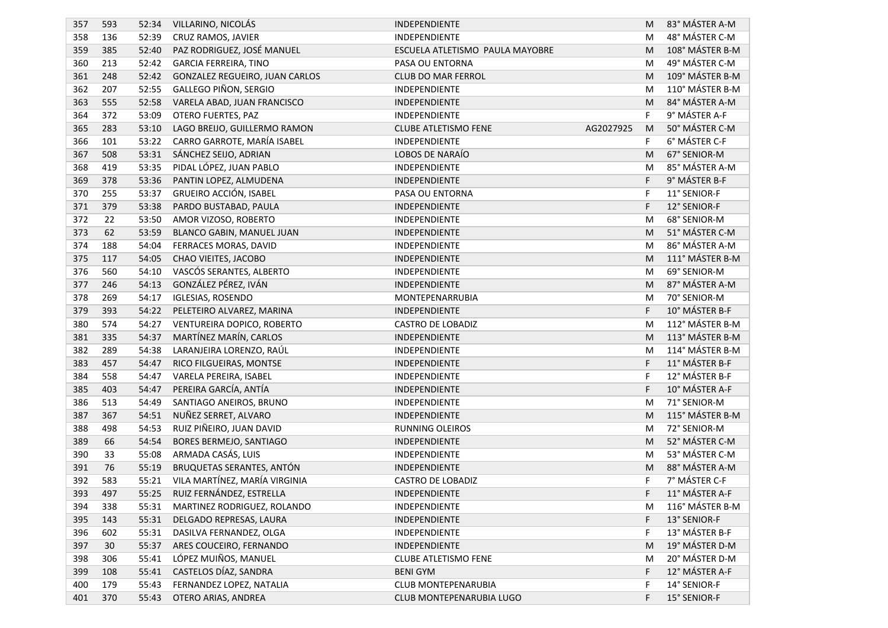| 357 | 593 | 52:34 | VILLARINO, NICOLÁS             | INDEPENDIENTE                            | M | 83° MÁSTER A-M  |
|-----|-----|-------|--------------------------------|------------------------------------------|---|-----------------|
| 358 | 136 | 52:39 | CRUZ RAMOS, JAVIER             | INDEPENDIENTE                            | M | 48° MÁSTER C-M  |
| 359 | 385 | 52:40 | PAZ RODRIGUEZ, JOSÉ MANUEL     | ESCUELA ATLETISMO PAULA MAYOBRE          | M | 108° MÁSTER B-M |
| 360 | 213 | 52:42 | <b>GARCIA FERREIRA, TINO</b>   | PASA OU ENTORNA                          | M | 49° MÁSTER C-M  |
| 361 | 248 | 52:42 | GONZALEZ REGUEIRO, JUAN CARLOS | CLUB DO MAR FERROL                       | M | 109° MÁSTER B-M |
| 362 | 207 | 52:55 | GALLEGO PIÑON, SERGIO          | <b>INDEPENDIENTE</b>                     | M | 110° MÁSTER B-M |
| 363 | 555 | 52:58 | VARELA ABAD, JUAN FRANCISCO    | INDEPENDIENTE                            | M | 84° MÁSTER A-M  |
| 364 | 372 | 53:09 | OTERO FUERTES, PAZ             | INDEPENDIENTE                            | F | 9° MÁSTER A-F   |
| 365 | 283 | 53:10 | LAGO BREIJO, GUILLERMO RAMON   | <b>CLUBE ATLETISMO FENE</b><br>AG2027925 | M | 50° MÁSTER C-M  |
| 366 | 101 | 53:22 | CARRO GARROTE, MARÍA ISABEL    | INDEPENDIENTE                            | F | 6° MÁSTER C-F   |
| 367 | 508 | 53:31 | SÁNCHEZ SEIJO, ADRIAN          | LOBOS DE NARAÍO                          | M | 67° SENIOR-M    |
| 368 | 419 | 53:35 | PIDAL LÓPEZ, JUAN PABLO        | INDEPENDIENTE                            | M | 85° MÁSTER A-M  |
| 369 | 378 | 53:36 | PANTIN LOPEZ, ALMUDENA         | INDEPENDIENTE                            | F | 9° MÁSTER B-F   |
| 370 | 255 | 53:37 | GRUEIRO ACCIÓN, ISABEL         | PASA OU ENTORNA                          | F | 11° SENIOR-F    |
| 371 | 379 | 53:38 | PARDO BUSTABAD, PAULA          | INDEPENDIENTE                            | F | 12° SENIOR-F    |
| 372 | 22  | 53:50 | AMOR VIZOSO, ROBERTO           | INDEPENDIENTE                            | M | 68° SENIOR-M    |
| 373 | 62  | 53:59 | BLANCO GABIN, MANUEL JUAN      | INDEPENDIENTE                            | M | 51° MÁSTER C-M  |
| 374 | 188 | 54:04 | FERRACES MORAS, DAVID          | INDEPENDIENTE                            | M | 86° MÁSTER A-M  |
| 375 | 117 | 54:05 | CHAO VIEITES, JACOBO           | INDEPENDIENTE                            | M | 111° MÁSTER B-M |
| 376 | 560 | 54:10 | VASCÓS SERANTES, ALBERTO       | INDEPENDIENTE                            | M | 69° SENIOR-M    |
| 377 | 246 | 54:13 | GONZÁLEZ PÉREZ, IVÁN           | INDEPENDIENTE                            | M | 87° MÁSTER A-M  |
| 378 | 269 | 54:17 | <b>IGLESIAS, ROSENDO</b>       | MONTEPENARRUBIA                          | M | 70° SENIOR-M    |
| 379 | 393 | 54:22 | PELETEIRO ALVAREZ, MARINA      | INDEPENDIENTE                            | F | 10° MÁSTER B-F  |
| 380 | 574 | 54:27 | VENTUREIRA DOPICO, ROBERTO     | <b>CASTRO DE LOBADIZ</b>                 | M | 112° MÁSTER B-M |
| 381 | 335 | 54:37 | MARTÍNEZ MARÍN, CARLOS         | INDEPENDIENTE                            | M | 113° MÁSTER B-M |
| 382 | 289 | 54:38 | LARANJEIRA LORENZO, RAÚL       | INDEPENDIENTE                            | M | 114° MÁSTER B-M |
| 383 | 457 | 54:47 | RICO FILGUEIRAS, MONTSE        | INDEPENDIENTE                            | F | 11° MÁSTER B-F  |
| 384 | 558 | 54:47 | VARELA PEREIRA, ISABEL         | INDEPENDIENTE                            | F | 12° MÁSTER B-F  |
| 385 | 403 | 54:47 | PEREIRA GARCÍA, ANTÍA          | INDEPENDIENTE                            | F | 10° MÁSTER A-F  |
| 386 | 513 | 54:49 | SANTIAGO ANEIROS, BRUNO        | INDEPENDIENTE                            | M | 71° SENIOR-M    |
| 387 | 367 | 54:51 | NUÑEZ SERRET, ALVARO           | INDEPENDIENTE                            | M | 115° MÁSTER B-M |
| 388 | 498 | 54:53 | RUIZ PIÑEIRO, JUAN DAVID       | <b>RUNNING OLEIROS</b>                   | M | 72° SENIOR-M    |
| 389 | 66  | 54:54 | BORES BERMEJO, SANTIAGO        | INDEPENDIENTE                            | M | 52° MÁSTER C-M  |
| 390 | 33  | 55:08 | ARMADA CASÁS, LUIS             | INDEPENDIENTE                            | M | 53° MÁSTER C-M  |
| 391 | 76  | 55:19 | BRUQUETAS SERANTES, ANTÓN      | INDEPENDIENTE                            | M | 88° MÁSTER A-M  |
| 392 | 583 | 55:21 | VILA MARTÍNEZ, MARÍA VIRGINIA  | <b>CASTRO DE LOBADIZ</b>                 | F | 7° MÁSTER C-F   |
| 393 | 497 |       | 55:25 RUIZ FERNÁNDEZ, ESTRELLA | INDEPENDIENTE                            |   | 11° MÁSTER A-F  |
| 394 | 338 | 55:31 | MARTINEZ RODRIGUEZ, ROLANDO    | INDEPENDIENTE                            | M | 116° MÁSTER B-M |
| 395 | 143 | 55:31 | DELGADO REPRESAS, LAURA        | INDEPENDIENTE                            | F | 13° SENIOR-F    |
| 396 | 602 | 55:31 | DASILVA FERNANDEZ, OLGA        | INDEPENDIENTE                            | F | 13° MÁSTER B-F  |
| 397 | 30  | 55:37 | ARES COUCEIRO, FERNANDO        | INDEPENDIENTE                            | M | 19° MÁSTER D-M  |
| 398 | 306 | 55:41 | LÓPEZ MUIÑOS, MANUEL           | <b>CLUBE ATLETISMO FENE</b>              | M | 20° MÁSTER D-M  |
| 399 | 108 | 55:41 | CASTELOS DÍAZ, SANDRA          | <b>BENI GYM</b>                          | F | 12° MÁSTER A-F  |
| 400 | 179 | 55:43 | FERNANDEZ LOPEZ, NATALIA       | CLUB MONTEPENARUBIA                      | F | 14° SENIOR-F    |
| 401 | 370 | 55:43 | OTERO ARIAS, ANDREA            | CLUB MONTEPENARUBIA LUGO                 | F | 15° SENIOR-F    |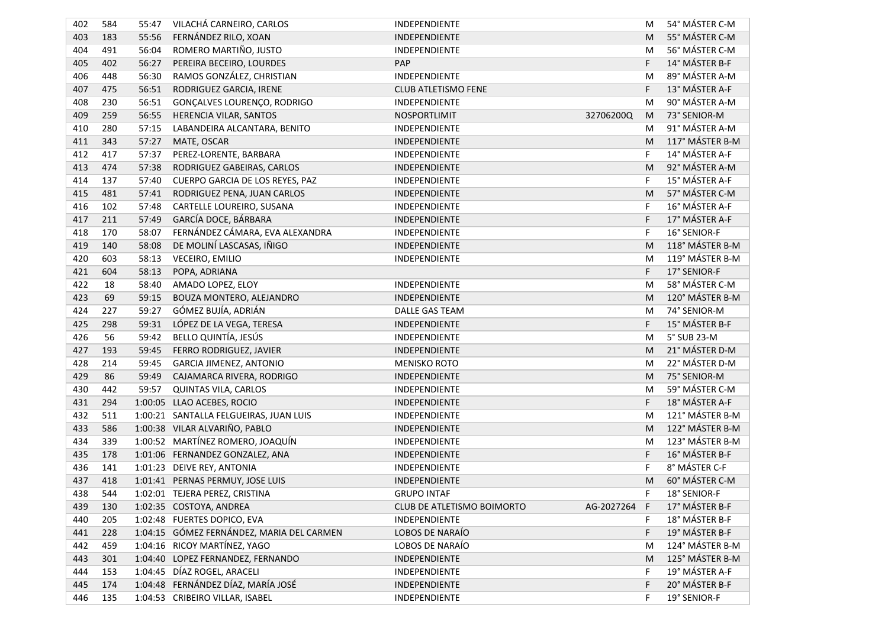| 402 | 584 | 55:47   | VILACHÁ CARNEIRO, CARLOS                  | INDEPENDIENTE                                                         | M              | 54° MÁSTER C-M  |
|-----|-----|---------|-------------------------------------------|-----------------------------------------------------------------------|----------------|-----------------|
| 403 | 183 | 55:56   | FERNÁNDEZ RILO, XOAN                      | INDEPENDIENTE                                                         | M              | 55° MÁSTER C-M  |
| 404 | 491 | 56:04   | ROMERO MARTIÑO, JUSTO                     | INDEPENDIENTE                                                         | M              | 56° MÁSTER C-M  |
| 405 | 402 | 56:27   | PEREIRA BECEIRO, LOURDES                  | PAP                                                                   | F              | 14° MÁSTER B-F  |
| 406 | 448 | 56:30   | RAMOS GONZÁLEZ, CHRISTIAN                 | INDEPENDIENTE                                                         | M              | 89° MÁSTER A-M  |
| 407 | 475 | 56:51   | RODRIGUEZ GARCIA, IRENE                   | CLUB ATLETISMO FENE                                                   | F              | 13° MÁSTER A-F  |
| 408 | 230 | 56:51   | GONÇALVES LOURENÇO, RODRIGO               | INDEPENDIENTE                                                         | M              | 90° MÁSTER A-M  |
| 409 | 259 | 56:55   | HERENCIA VILAR, SANTOS                    | NOSPORTLIMIT                                                          | 32706200Q<br>M | 73° SENIOR-M    |
| 410 | 280 | 57:15   | LABANDEIRA ALCANTARA, BENITO              | INDEPENDIENTE                                                         | M              | 91° MÁSTER A-M  |
| 411 | 343 | 57:27   | MATE, OSCAR                               | INDEPENDIENTE                                                         | M              | 117° MÁSTER B-M |
| 412 | 417 | 57:37   | PEREZ-LORENTE, BARBARA                    | INDEPENDIENTE                                                         | F              | 14° MÁSTER A-F  |
| 413 | 474 | 57:38   | RODRIGUEZ GABEIRAS, CARLOS                | INDEPENDIENTE                                                         | M              | 92° MÁSTER A-M  |
| 414 | 137 | 57:40   | CUERPO GARCIA DE LOS REYES, PAZ           | INDEPENDIENTE                                                         | F              | 15° MÁSTER A-F  |
| 415 | 481 | 57:41   | RODRIGUEZ PENA, JUAN CARLOS               | INDEPENDIENTE                                                         | M              | 57° MÁSTER C-M  |
| 416 | 102 | 57:48   | CARTELLE LOUREIRO, SUSANA                 | INDEPENDIENTE                                                         | F              | 16° MÁSTER A-F  |
| 417 | 211 | 57:49   | GARCÍA DOCE, BÁRBARA                      | INDEPENDIENTE                                                         | F              | 17° MÁSTER A-F  |
| 418 | 170 | 58:07   | FERNÁNDEZ CÁMARA, EVA ALEXANDRA           | INDEPENDIENTE                                                         | F              | 16° SENIOR-F    |
| 419 | 140 | 58:08   | DE MOLINÍ LASCASAS, IÑIGO                 | INDEPENDIENTE                                                         | M              | 118° MÁSTER B-M |
| 420 | 603 | 58:13   | VECEIRO, EMILIO                           | INDEPENDIENTE                                                         | M              | 119° MÁSTER B-M |
| 421 | 604 | 58:13   | POPA, ADRIANA                             |                                                                       | F              | 17° SENIOR-F    |
| 422 | 18  | 58:40   | AMADO LOPEZ, ELOY                         | <b>INDEPENDIENTE</b>                                                  | M              | 58° MÁSTER C-M  |
| 423 | 69  | 59:15   | BOUZA MONTERO, ALEJANDRO                  | INDEPENDIENTE                                                         | M              | 120° MÁSTER B-M |
| 424 | 227 | 59:27   | GÓMEZ BUJÍA, ADRIÁN                       | DALLE GAS TEAM                                                        | M              | 74° SENIOR-M    |
| 425 | 298 | 59:31   | LÓPEZ DE LA VEGA, TERESA                  | INDEPENDIENTE                                                         | F              | 15° MÁSTER B-F  |
| 426 | 56  | 59:42   | BELLO QUINTÍA, JESÚS                      | INDEPENDIENTE                                                         | M              | 5° SUB 23-M     |
| 427 | 193 | 59:45   | FERRO RODRIGUEZ, JAVIER                   | INDEPENDIENTE                                                         | M              | 21° MÁSTER D-M  |
| 428 | 214 | 59:45   | <b>GARCIA JIMENEZ, ANTONIO</b>            | <b>MENISKO ROTO</b>                                                   | M              | 22° MÁSTER D-M  |
| 429 | 86  | 59:49   | CAJAMARCA RIVERA, RODRIGO                 | INDEPENDIENTE                                                         | M              | 75° SENIOR-M    |
| 430 | 442 | 59:57   | QUINTAS VILA, CARLOS                      | INDEPENDIENTE                                                         | M              | 59° MÁSTER C-M  |
| 431 | 294 | 1:00:05 | LLAO ACEBES, ROCIO                        | INDEPENDIENTE                                                         | F              | 18° MÁSTER A-F  |
| 432 | 511 |         | 1:00:21 SANTALLA FELGUEIRAS, JUAN LUIS    | INDEPENDIENTE                                                         | M              | 121° MÁSTER B-M |
| 433 | 586 |         | 1:00:38 VILAR ALVARIÑO, PABLO             | INDEPENDIENTE                                                         | M              | 122° MÁSTER B-M |
| 434 | 339 |         | 1:00:52 MARTÍNEZ ROMERO, JOAQUÍN          | INDEPENDIENTE                                                         | M              | 123° MÁSTER B-M |
| 435 | 178 |         | 1:01:06 FERNANDEZ GONZALEZ, ANA           | INDEPENDIENTE                                                         | F              | 16° MÁSTER B-F  |
| 436 | 141 |         | 1:01:23 DEIVE REY, ANTONIA                | INDEPENDIENTE                                                         | F              | 8° MÁSTER C-F   |
| 437 | 418 |         | 1:01:41 PERNAS PERMUY, JOSE LUIS          | INDEPENDIENTE                                                         | M              | 60° MÁSTER C-M  |
| 438 | 544 |         | 1:02:01 TEJERA PEREZ, CRISTINA            | <b>GRUPO INTAF</b>                                                    | F              | 18° SENIOR-F    |
| 439 | 130 |         | 1:02:35 COSTOYA, ANDREA                   | CLUB DE ATLETISMO BOIMORTO                                            | AG-2027264 F   | 17° MÁSTER B-F  |
| 440 | 205 |         | 1:02:48 FUERTES DOPICO, EVA               | INDEPENDIENTE                                                         | F              | 18° MÁSTER B-F  |
| 441 | 228 |         | 1:04:15 GÓMEZ FERNÁNDEZ, MARIA DEL CARMEN | LOBOS DE NARAÍO                                                       | F              | 19° MÁSTER B-F  |
| 442 | 459 |         | 1:04:16 RICOY MARTÍNEZ, YAGO              | LOBOS DE NARAÍO                                                       | M              | 124° MÁSTER B-M |
| 443 | 301 |         | 1:04:40 LOPEZ FERNANDEZ, FERNANDO         | INDEPENDIENTE                                                         | M              | 125° MÁSTER B-M |
| 444 | 153 |         | 1:04:45 DÍAZ ROGEL, ARACELI               | INDEPENDIENTE                                                         | F              | 19° MÁSTER A-F  |
| 445 | 174 |         |                                           | INDEPENDIENTE                                                         | F              | 20° MÁSTER B-F  |
| 446 | 135 |         |                                           | INDEPENDIENTE                                                         | F              | 19° SENIOR-F    |
|     |     |         |                                           | 1:04:48 FERNÁNDEZ DÍAZ, MARÍA JOSÉ<br>1:04:53 CRIBEIRO VILLAR, ISABEL |                |                 |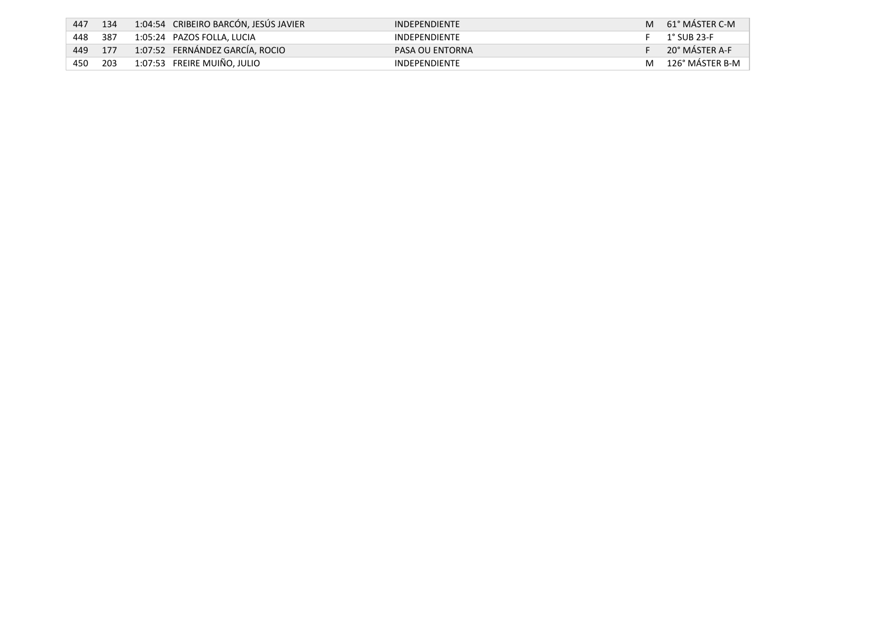| 447 | 134  | 1:04:54 CRIBEIRO BARCÓN, JESÚS JAVIER | <b>INDEPENDIENTE</b> | M | 61° MÁSTER C-M  |
|-----|------|---------------------------------------|----------------------|---|-----------------|
| 448 | -387 | 1:05:24 PAZOS FOLLA. LUCIA            | <b>INDEPENDIENTE</b> |   | 1° SUB 23-F     |
| 449 | 177  | 1:07:52 FERNÁNDEZ GARCÍA, ROCIO       | PASA OU ENTORNA      |   | 20° MÁSTER A-F  |
| 450 | 203  | 1:07:53 FREIRE MUIÑO, JULIO           | <b>INDEPENDIENTE</b> | м | 126° MÁSTER B-M |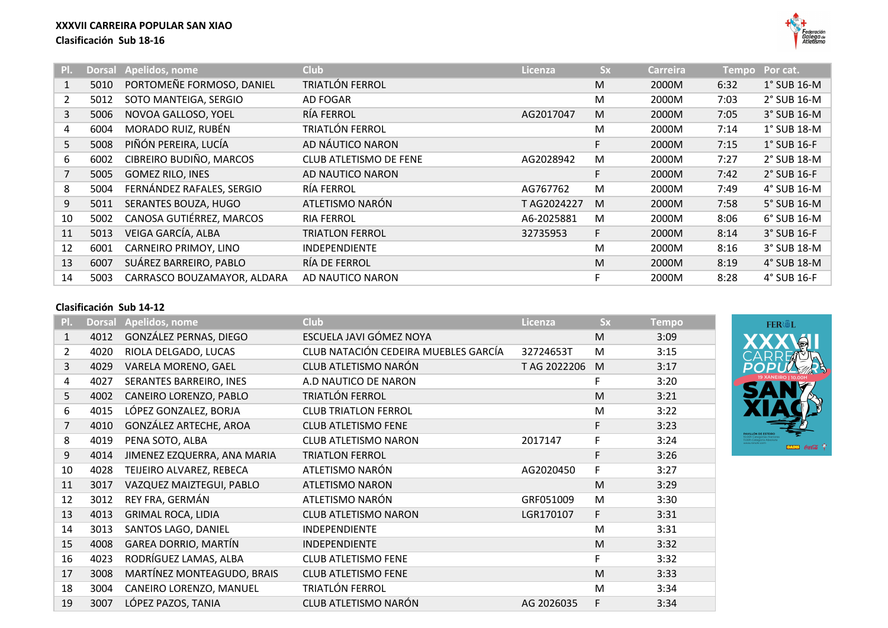

| PI.            |      | Dorsal Apelidos, nome       | <b>Club</b>            | Licenza    | <b>Sx</b> | <b>Carreira</b> | <b>Tempo</b> | Por cat.           |
|----------------|------|-----------------------------|------------------------|------------|-----------|-----------------|--------------|--------------------|
| 1              | 5010 | PORTOMEÑE FORMOSO, DANIEL   | TRIATLÓN FERROL        |            | M         | 2000M           | 6:32         | $1^\circ$ SUB 16-M |
| $\overline{2}$ | 5012 | SOTO MANTEIGA, SERGIO       | AD FOGAR               |            | M         | 2000M           | 7:03         | 2° SUB 16-M        |
| 3              | 5006 | NOVOA GALLOSO, YOEL         | RÍA FERROL             | AG2017047  | M         | 2000M           | 7:05         | 3° SUB 16-M        |
| 4              | 6004 | MORADO RUIZ, RUBÉN          | TRIATLÓN FERROL        |            | M         | 2000M           | 7:14         | 1° SUB 18-M        |
| 5              | 5008 | PIÑÓN PEREIRA, LUCÍA        | AD NÁUTICO NARON       |            | F         | 2000M           | 7:15         | $1^\circ$ SUB 16-F |
| 6              | 6002 | CIBREIRO BUDIÑO, MARCOS     | CLUB ATLETISMO DE FENE | AG2028942  | M         | 2000M           | 7:27         | 2° SUB 18-M        |
|                | 5005 | <b>GOMEZ RILO, INES</b>     | AD NAUTICO NARON       |            | F         | 2000M           | 7:42         | 2° SUB 16-F        |
| 8              | 5004 | FERNÁNDEZ RAFALES, SERGIO   | RÍA FERROL             | AG767762   | M         | 2000M           | 7:49         | 4° SUB 16-M        |
| 9              | 5011 | SERANTES BOUZA, HUGO        | ATLETISMO NARÓN        | TAG2024227 | M         | 2000M           | 7:58         | 5° SUB 16-M        |
| 10             | 5002 | CANOSA GUTIÉRREZ, MARCOS    | <b>RIA FERROL</b>      | A6-2025881 | M         | 2000M           | 8:06         | 6° SUB 16-M        |
| 11             | 5013 | VEIGA GARCÍA, ALBA          | <b>TRIATLON FERROL</b> | 32735953   | F         | 2000M           | 8:14         | 3° SUB 16-F        |
| 12             | 6001 | CARNEIRO PRIMOY, LINO       | <b>INDEPENDIENTE</b>   |            | M         | 2000M           | 8:16         | 3° SUB 18-M        |
| 13             | 6007 | SUÁREZ BARREIRO, PABLO      | RÍA DE FERROL          |            | M         | 2000M           | 8:19         | 4° SUB 18-M        |
| 14             | 5003 | CARRASCO BOUZAMAYOR, ALDARA | AD NAUTICO NARON       |            | F         | 2000M           | 8:28         | 4° SUB 16-F        |

## **Clasificación Sub 14-12**

| PI.            | <b>Dorsal</b> | Apelidos, nome              | Club                                 | Licenza      | <b>Sx</b> | <b>Tempo</b> |
|----------------|---------------|-----------------------------|--------------------------------------|--------------|-----------|--------------|
| $\mathbf{1}$   | 4012          | GONZÁLEZ PERNAS, DIEGO      | ESCUELA JAVI GÓMEZ NOYA              |              | M         | 3:09         |
| $\overline{2}$ | 4020          | RIOLA DELGADO, LUCAS        | CLUB NATACIÓN CEDEIRA MUEBLES GARCÍA | 32724653T    | M         | 3:15         |
| $\overline{3}$ | 4029          | VARELA MORENO, GAEL         | CLUB ATLETISMO NARÓN                 | T AG 2022206 | M         | 3:17         |
| $\overline{4}$ | 4027          | SERANTES BARREIRO, INES     | A.D NAUTICO DE NARON                 |              | F         | 3:20         |
| 5              | 4002          | CANEIRO LORENZO, PABLO      | TRIATLÓN FERROL                      |              | M         | 3:21         |
| 6              | 4015          | LÓPEZ GONZALEZ, BORJA       | <b>CLUB TRIATLON FERROL</b>          |              | M         | 3:22         |
| $\overline{7}$ | 4010          | GONZÁLEZ ARTECHE, AROA      | <b>CLUB ATLETISMO FENE</b>           |              | F         | 3:23         |
| 8              | 4019          | PENA SOTO, ALBA             | <b>CLUB ATLETISMO NARON</b>          | 2017147      | F         | 3:24         |
| 9              | 4014          | JIMENEZ EZQUERRA, ANA MARIA | <b>TRIATLON FERROL</b>               |              | F         | 3:26         |
| 10             | 4028          | TEIJEIRO ALVAREZ, REBECA    | ATLETISMO NARÓN                      | AG2020450    | F         | 3:27         |
| 11             | 3017          | VAZQUEZ MAIZTEGUI, PABLO    | <b>ATLETISMO NARON</b>               |              | M         | 3:29         |
| 12             | 3012          | REY FRA, GERMÁN             | ATLETISMO NARÓN                      | GRF051009    | M         | 3:30         |
| 13             | 4013          | <b>GRIMAL ROCA, LIDIA</b>   | <b>CLUB ATLETISMO NARON</b>          | LGR170107    | F         | 3:31         |
| 14             | 3013          | SANTOS LAGO, DANIEL         | <b>INDEPENDIENTE</b>                 |              | M         | 3:31         |
| 15             | 4008          | <b>GAREA DORRIO, MARTÍN</b> | <b>INDEPENDIENTE</b>                 |              | M         | 3:32         |
| 16             | 4023          | RODRÍGUEZ LAMAS, ALBA       | <b>CLUB ATLETISMO FENE</b>           |              | F         | 3:32         |
| 17             | 3008          | MARTÍNEZ MONTEAGUDO, BRAIS  | <b>CLUB ATLETISMO FENE</b>           |              | M         | 3:33         |
| 18             | 3004          | CANEIRO LORENZO, MANUEL     | TRIATLÓN FERROL                      |              | M         | 3:34         |
| 19             | 3007          | LÓPEZ PAZOS, TANIA          | CLUB ATLETISMO NARÓN                 | AG 2026035   | F         | 3:34         |

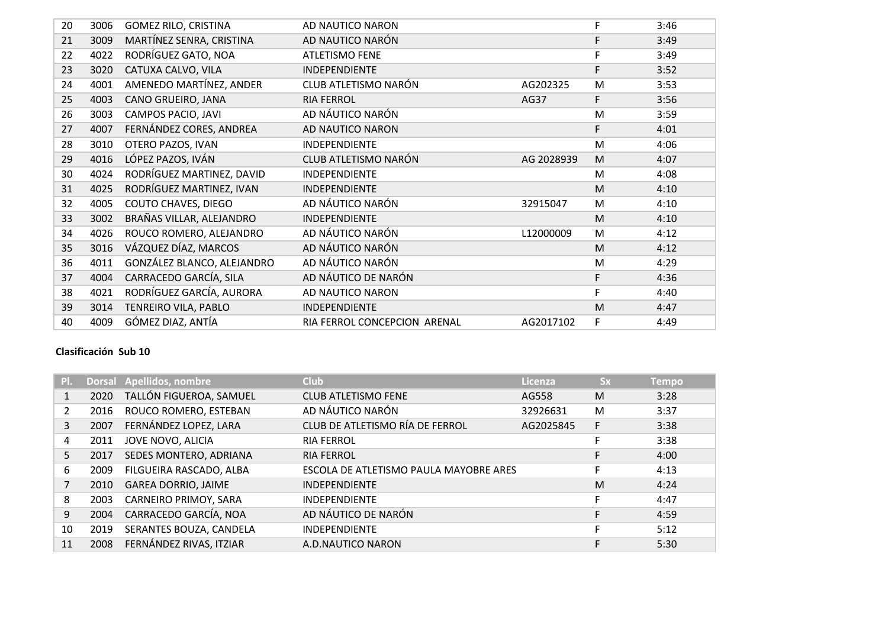| 20 | 3006 | <b>GOMEZ RILO, CRISTINA</b> | AD NAUTICO NARON             |            | F | 3:46 |
|----|------|-----------------------------|------------------------------|------------|---|------|
| 21 | 3009 | MARTÍNEZ SENRA, CRISTINA    | AD NAUTICO NARÓN             |            | F | 3:49 |
| 22 | 4022 | RODRÍGUEZ GATO, NOA         | <b>ATLETISMO FENE</b>        |            | F | 3:49 |
| 23 | 3020 | CATUXA CALVO, VILA          | <b>INDEPENDIENTE</b>         |            | F | 3:52 |
| 24 | 4001 | AMENEDO MARTÍNEZ, ANDER     | CLUB ATLETISMO NARÓN         | AG202325   | M | 3:53 |
| 25 | 4003 | CANO GRUEIRO, JANA          | <b>RIA FERROL</b>            | AG37       | F | 3:56 |
| 26 | 3003 | CAMPOS PACIO, JAVI          | AD NÁUTICO NARÓN             |            | M | 3:59 |
| 27 | 4007 | FERNÁNDEZ CORES, ANDREA     | AD NAUTICO NARON             |            | F | 4:01 |
| 28 | 3010 | OTERO PAZOS, IVAN           | INDEPENDIENTE                |            | M | 4:06 |
| 29 | 4016 | LÓPEZ PAZOS, IVÁN           | CLUB ATLETISMO NARÓN         | AG 2028939 | M | 4:07 |
| 30 | 4024 | RODRÍGUEZ MARTINEZ, DAVID   | INDEPENDIENTE                |            | M | 4:08 |
| 31 | 4025 | RODRÍGUEZ MARTINEZ, IVAN    | <b>INDEPENDIENTE</b>         |            | M | 4:10 |
| 32 | 4005 | <b>COUTO CHAVES, DIEGO</b>  | AD NÁUTICO NARÓN             | 32915047   | M | 4:10 |
| 33 | 3002 | BRAÑAS VILLAR, ALEJANDRO    | <b>INDEPENDIENTE</b>         |            | M | 4:10 |
| 34 | 4026 | ROUCO ROMERO, ALEJANDRO     | AD NÁUTICO NARÓN             | L12000009  | M | 4:12 |
| 35 | 3016 | VÁZQUEZ DÍAZ, MARCOS        | AD NÁUTICO NARÓN             |            | M | 4:12 |
| 36 | 4011 | GONZÁLEZ BLANCO, ALEJANDRO  | AD NÁUTICO NARÓN             |            | M | 4:29 |
| 37 | 4004 | CARRACEDO GARCÍA, SILA      | AD NÁUTICO DE NARÓN          |            | F | 4:36 |
| 38 | 4021 | RODRÍGUEZ GARCÍA, AURORA    | AD NAUTICO NARON             |            | F | 4:40 |
| 39 | 3014 | TENREIRO VILA, PABLO        | INDEPENDIENTE                |            | M | 4:47 |
| 40 | 4009 | GÓMEZ DIAZ, ANTÍA           | RIA FERROL CONCEPCION ARENAL | AG2017102  | F | 4:49 |

## **Clasificación Sub 10**

| $\mathsf{PL}$ |      | Dorsal Apellidos, nombre   | <b>Club</b>                            | Licenza   | <b>Sx</b> | <b>Tempo</b> |
|---------------|------|----------------------------|----------------------------------------|-----------|-----------|--------------|
|               | 2020 | TALLÓN FIGUEROA, SAMUEL    | <b>CLUB ATLETISMO FENE</b>             | AG558     | M         | 3:28         |
| 2             | 2016 | ROUCO ROMERO, ESTEBAN      | AD NÁUTICO NARÓN                       | 32926631  | M         | 3:37         |
| 3             | 2007 | FERNÁNDEZ LOPEZ, LARA      | CLUB DE ATLETISMO RÍA DE FERROL        | AG2025845 | F         | 3:38         |
| 4             | 2011 | JOVE NOVO, ALICIA          | <b>RIA FERROL</b>                      |           |           | 3:38         |
| 5             | 2017 | SEDES MONTERO, ADRIANA     | <b>RIA FERROL</b>                      |           |           | 4:00         |
| 6             | 2009 | FILGUEIRA RASCADO, ALBA    | ESCOLA DE ATLETISMO PAULA MAYOBRE ARES |           |           | 4:13         |
|               | 2010 | <b>GAREA DORRIO, JAIME</b> | <b>INDEPENDIENTE</b>                   |           | M         | 4:24         |
| 8             | 2003 | CARNEIRO PRIMOY, SARA      | <b>INDEPENDIENTE</b>                   |           |           | 4:47         |
| 9             | 2004 | CARRACEDO GARCÍA, NOA      | AD NÁUTICO DE NARÓN                    |           | F         | 4:59         |
| 10            | 2019 | SERANTES BOUZA, CANDELA    | <b>INDEPENDIENTE</b>                   |           |           | 5:12         |
| 11            | 2008 | FERNÁNDEZ RIVAS, ITZIAR    | A.D.NAUTICO NARON                      |           |           | 5:30         |